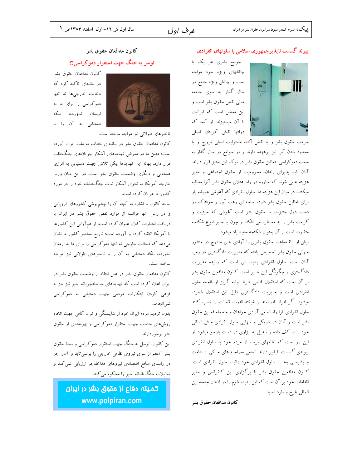# ھرف اول

#### پیوند گسست ناپذیرجمهوری اسلامی با سلولهای انفرادی

جوامع بشری هر یک با چالشهای ویژه خود مواجه است و چالش ویژه جامع در حال گذار به سوی جامعه مدنی نقض حقوق بشر است و این معضل است که ایرانیان با آن میستیزند. از آنجا که دولتها نقش آفرينان اصلى

حرمت حقوق بشر و يا نقض آنند، مسئوليت اصلي ترويج و يا محدود شدن آنرا نیز برعهده دارند و در جوامع در حال گذار به سمت دموکراسی، فعالین حقوق بشر در نوک این ستیز قرار دارند. آنان باید پذیرای زندان، محرومیت از حقوق اجتماعی و سایر هزینه هایی شوند که مبارزه در راه اعتلای حقوق بشر آنرا مطالبه میکنند. در میان این هزینه ها، سلول انفرادی که آغوشی همیشه باز برای فعالین حقوق بشر دارد، اسلحه ای رعب آور و خوفناک در دست دول ستیزنده با حقوق بشر است آغوشی که حیثیت و کرامت بشر را به مخاطره می افکند و چون با سایر انواع شکنجه متفاوت است از آن بعنوان شکنجه سفید یاد میشود.

بیش از ۶۰ معاهده حقوق بشری با آزادی های مندرج در منشور جهانی حقوق بشر تخصیص یافته که مدیریت دادگستری در زمره آنان است. سلول انفرادی پدیده ای است که زائیده مدیریت دادگستری و چگونگی این تدبیر است. کانون مدافعین حقوق بشر بر آن است که استقلال قاضی شرط اولیه گریز از فاجعه سلول انفرادی است و مدیریت دادگستری دلیل این استقلال شمرده میشود. اگر افراد قدرتمند و شیفته قدرت قضات را نسب کنند سلول انفرادی فرا راه تمامی آزادی خواهان و منجمله فعالین حقوق بشر است و آنان در تاریکی و تنهایی سلول انفرادی منش انسانی خود را از کف داده و تبدیل به ابزاری در دست بازجو میشود. از این رو است که نظامهای بریده از مردم خود با سلول انفرادی پیوندی گسست ناپذیر دارند. تمامی مصاحبه های حاکی از ندامت و پشیمانی بعد از سلول انفرادی خود زائیده سلول انفرادی است. کانون مدافعین حقوق بشر با برگزاری این کنفرانس و سایر اقدامات خود بر آن است که این پدیده شوم را در اذهان جامعه بین المللي طرح و طرد نمايد.

كانون مدافعان حقوق بشر

# كانون مدافعان حقوق بشر توسل به جنگ جهت استقرار دموکراسی!؟

كانون مدافعان حقوق بشر در بیانیهای تاکید کرد که دخالت خارجيها نه تنها دموکراسی را برای ما به ارمغان نياورده، بلكه دستیابی به آن را با



کانون مدافعان حقوق بشر در بیانیهای خطاب به ملت ایران آورده است: مهین ما در معرض تهدیدهای آشکار جریانهای جنگطلب قرار دارد. بهانه این تهدیدها یکی تلاش جهت دستیابی به انرژی هستهیی و دیگری وضعیت حقوق بشر است. در این میان وزیر خارجه آمریکا به نحوی آشکار نیات جنگطلبانه خود را در مورد كشور ما عريان كرده است.

بیانیه کانون با اشاره به آنچه آن را چشمپوشی کشورهای اروپایی و در راس آنها فرانسه از موارد نقض حقوق بشر در ایران با دریافت امتیازات کلان عنوان کرده است، از همآوایی این کشورها با آمریکا انتقاد کرده و آورده است: تاریخ معاصر کشور ما نشان می،دهد که دخالت خارجی نه تنها دموکراسی را برای ما به ارمغان نیاورده، بلکه دستیابی به آن را با تاخیرهای طولانی نیز مواجه ساخته است.

كانون مدافعان حقوق بشر در عين انتقاد از وضعيت حقوق بشر در ایران اعلام کرده است که تهدیدهای مداخلهجویانه اخیر نیز جز به فرعی کردن ابتکارات مردمی جهت دستیابی به دموکراسی نمي انجامد.

بدون تردید مردم ایران خود از شایستگی و توان کافی جهت اتخاذ روشهای مناسب جهت استقرار دموکراسی و بهرهمندی از حقوق بشر برخوردارند.

این کانون، توسل به جنگ جهت استقرار دموکراسی و بسط حقوق بشر آنهم از سوی نیروی نظامی خارجی را برنمیتابد و آن را جز در راستای منافع اقتصادی نیروهای مداخلهجو ارزیابی نمی کند و تمایلات جنگطلبانه اخیر را محکوم می کند.

> كميته دفاع از مقوق بشر در ايران www.polpiran.com

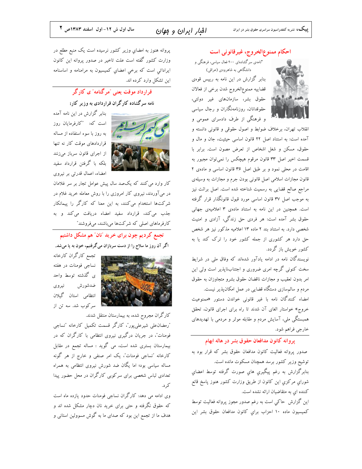افبار ايران و موان

احكام ممنوع الخروج، غيرقانوني است "نامەي سرگشادەاي ۴۰۰ فعال سیاسی، فرهنگی و دانشگاهی به شاهرودی (عراقی) بنابر گزارش در این نامه به رییس قوهی قضاييه ممنوع الخروج شدن برخي از فعالان ایستان از این مقوق بشر، سازمانهای غیر دولتی، حقوقدانان، روزنامهنگاران و رجال سیاسی و فرهنگی از طرف دادسرای عمومی و

انقلاب تهران، برخلاف ضوابط و اصول حقوقی و قانونی دانسته و آمده است: به استناد اصل ۲۲ قانون اساسی حیثیت، جان و مال و حقوق، مسكن و شغل اشخاص از تعرض مصون است. برابر با قسمت اخیر اصل ۳۳ قانون مرقوم هیچکس را نمیتوان مجبور به اقامت در محلی نمود و بر طبق اصل ۳۶ قانون اساسی و مادهی ۲ قانون مجازات اسلامی اصل قانونی بودن جرم و مجازات به وسیلهی مراجع صالح قضایی به رسمیت شناخته شده است. اصل برائت نیز به موجب اصل ۳۷ قانون اساسی مورد قبول قانونگذار قرار گرفته است. همچنین در این نامه به استناد مادهی ۳ اعلامیهی جهانی حقوق بشر آمده است: هر فردی حق زندگی، آزادی و امنیت شخصی دارد. به استناد بند ۲ ماده ۱۳ اعلامیه مذکور نیز هر شخص حق دارد هر کشوری از جمله کشور خود را ترک کند یا به کشور خویش باز گردد.

نویسندگان نامه در ادامه یادآور شدهاند که وفاق ملی در شرایط سخت کنونی گرچه امری ضروری و اجتنابناپذیر است ولی این امر بدون تعقيب و مجازات ناقضان حقوق بشرو متجاوزان به حقوق مردم و سالمهسازی دستگاه قضایی در عمل امکان پذیر نیست.

امضاء کنندگان نامه با غیر قانونی خواندن دستور «ممنوعیت خروج» خواستار الغای آن شدند تا راه برای اجرای قانون، تحقق همبستگی ملی، آسایش مردم و مقابله موثر و مردمی با تهدیدهای خارجي فراهم شود.

#### پروانه کانون مدافعان حقوق بشر در هاله ابهام

صدور پروانه فعالیت کانون مدافعان حقوق بشر که قرار بود به توشیح وزیر کشور برسد همچنان مسکوت مانده است. بنابرگزارش به رغم پیگیری های صورت گرفته توسط اعضای شوراي مركزي اين كانون از طريق وزارت كشور هنوز پاسخ قانع کننده ای به متقاضیان ارائه نشده است.

این گزارش حاکی است به رغم صدور مجوز پروانه فعالیت توسط كميسيون ماده ١٠ احزاب براي كانون مدافعان حقوق بشر اين

پروانه هنوز به امضاي وزير كشور نرسيده است يک منبع مطلع در وزارت کشور گفته است علت تاخیر در صدور پروانه این کانون ایراداتی است که برخی اعضای کمیسیون به مرامنامه و اساسنامه این تشکل وارد کرده اند.

# ۔<br>قرارداد موقت یعنی <sup>-</sup>مرگنامه *-ی* کارگر

## نامه سرگشاده کارگران قراردادی به وزیر کار:



بنابر گزارش در این نامه آمده است كه: "كارفرمايان روز به روز با سوء استفاده از مساله قراردادهای موقت کار نه تنها از اجرای قانون سرباز میزنند بلکه با گرفتن قرارداد سفید امضاء، اعمال قدرتی بر نیروی

کار وارد می کنند که یکصد سال پیش عوامل تجار بر سر غلامان در میآوردند، نیروی کار امروزی را با روش معامله خرید غلام در شرکتها استخدام میکنند، به این معنا که کارگر را پیمانکار جذب می کند، قرارداد سفید امضاء دریافت می کند و به کارفرماهای اصلی که شرکتها میباشند، میفروشند″

تجمع کردیم چون برای خرید "نان" هم مشکل داشتیم اگر آن روز ما سلاح را از دست سربازان میگرفتیم، خون به پا میشد.

تجمع كارگران كارخانه نساجی فومنات در هفته ی گذشته توسط واحد ضدشورش نيروى انتظامی استان گیلان سرکوب شد. سه تن از

کارگران مجروح شده، به بیمارستان منتقل شدند.

"رمضان على شيرعلى پور"، كارگر قسمت تكميل كارخانه "نساجى فومنات"، در جریان درگیری نیروی انتظامی با کارگران که در بیمارستان بستری شده است، می گوید : مساله تجمع در مقابل کارخانه "نساجی فومنات"، یک امر صنفی و خارج از هر گونه مساله سیاسی بود؛ اما یگان ضد شورش نیروی انتظامی به همراه تعدادی لباس شخصی برای سرکوبی کارگران در محل حضور پیدا ک د.

وی ادامه می دهد: کارگران نساجی فومنات حدود یازده ماه است که حقوق نگرفته و حتی برای خرید نان دچار مشکل شده اند و هدف ما از تجمع این بود که صدای ما به گوش مسوولین استانی و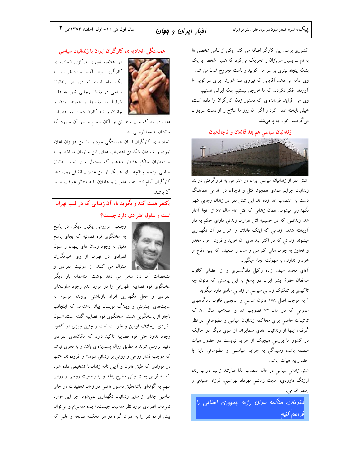سال اول ش ١٢- اول اسفند ١٣٨٣ص ٣

کشوری برسد. این کارگر اضافه می کند: یکی از لباس شخصی ها به نام ... بسیار سربازان را تحریک می کرد که همین شخص با یک بشکه پنجاه لیتری بر سر من کوبید و باعث مجروح شدن من شد. وی ادامه می دهد: آقایانی که نیروی ضد شورش برای سرکوبی ما آوردند، فکر نکردند که ما خارجی نیستیم، بلکه ایرانی هستیم. وی می افزاید: فرماندهای که دستور زدن کارگران را داده است، خیلی ناپخته عمل کرد و اگر آن روز ما سلاح را از دست سربازان میگرفتیم، خون به پا میشد.

زندانيان سياسي هم بند قاتلان و قاچاقچيان



شش نفر از زندانیان سیاسی ایران در اعتراض به قرارگرفتن در بند زندانيان جرايم عمدي همچون قتل و قاچاق، در اقدامی هماهنگ دست به اعتصاب غذا زده اند. این شش نفر در زندان رجایی شهر نگهداری میشوند. همان زندانی که قتل عام سال ۶۷ از آنجا آغاز شد. زندانــی که در حسینیه اش هزاران زندانی دارایِ حکم به دار آویخته شدند. زندانی که اینک قاتلان و اشرار در آن نگهداری میشوند. زندانی که در اکثر بند های آن خرید و فروش مواد مخدر و تحاوز به جوان هاي كم سن و سال و ضعيف كه بنيه دفاع از خود را ندارند، به سهولت انجام میگیرد.

آقاي محمد سيف زاده وكيل دادگستري و از اعضاي كانون مدافعان حقوق بشر ایران در پاسخ به این پرسش که قانون چه تاکیدی بر تفکیک زندانی سیاسی از زندانی عادی دارد میگوید:

" به موجب اصل ۱۶۸ قانون اساسی و همچنین قانون دادگاههای عمومی که در سال ۷۳ تصویب شد و اصلاحیه سال ۸۱ که ترتیبات حاصی برای محاکمه زندانیان سیاسی و مطبوعاتی در نظر گرفته، اینها از زندانیان عادی متمایزند. از سوی دیگر در حالیکه در کشور ما بررسی هیچیک از جرایم نبایست در حضور هیات منصفه باشد، رسیدگی به جرایم سیاســی و مطبوعاتی باید با حضوراين هيات باشد.

شش زندانی سیاسی در حال اعتصاب غذا عبارتند از بینا داراب زند، ارژنگ داوودي، حجت زمانــی،مهرداد لهراسبی، فرزاد حمیدي و جعفر اقدامي.

.<br>مقرم*ات ممالُمه سران <sub>ن</sub>ڑ*یع م*ِمهوری اسلامی ر*ا فراهع كنبع

#### همبستگی اتحادیه ی کارگران ایران با زندانیان سیاسی



در اعلامیه شورای مرکزی اتحادیه ی کارگری ایران آمده است: غریب به یک ماه است تعدادی از زندانیان سیاسی در زندان رجایی شهر به علت شرايط بد زندانها و همبند بودن با جانیان و تبه کاران دست به اعتصاب

غذا زده اند که حال چند تن از آنان وخیم و بیم آن میرود که جانشان به مخاطره بي افتد.

اتحادیه ی کارگران ایران همبستگی خود را با این عزیزان اعلام نموده و خواهان شکستن اعتصاب غذای این مبارزان میباشد، و به سردمداران حاکم هشدار میدهیم که مسئول جان تمام زندانیان سیاسی بوده و چنانچه برای هریک از این عزیزان اتفاقی روی دهد کارگران آرام ننشسته و عامران و عاملان باید منتظر عواقب شدید آن باشند.

# .<br>بکنفر همت کند و بگو ید نام آن زندان<sub>ی</sub> که در قلب تهران است و سلول انفرادی دارد چیست؟



رجبعلی مزروعی یکبار دیگر، در پاسخ به سخنگوی قوه قضائیه که بجای پاسخ دقیق به وجود زندان های پنهان و سلول انفرادی در تهران از وی خبرنگاران سئوال مي كنند، از سوئيت انفرادي و

مشخصات آن داد سخن می دهد نوشت: متاسفانه بار دیگر سخنگوی قوه قضاییه اظهاراتی را در مورد عدم وجود سلولهای انفرادی و محل نگهداری افراد بازداشتی پرونده موسوم به سایتهای اینترنتی و وبلاگ نویسان بیان داشتهاند که اینجانب ناچار از پاسخگویی هستم. سخنگوی قوه قضاییه گفته است:«سلول انفرادی برخلاف قوانین و مقررات است و چنین چیزی در کشور وجود ندارد حتی قوه قضاییه تاکید دارد که مکانهای انفرادی دقیقا بررسی شوند تا مطابق روال پسندیدهای باشد و به نحوی نباشد که موجب فشار روحی و روانی بر زندانی شود.» و افزودهاند: «تنها در مورادی که طبق قانون و آیین نامه زندانها تشخیص داده شود که به فرض بحث تبانی مطرح باشد و یا وضعیت روحی و روانی متهم به گونهای باشد،طبق دستور قاضی در زمان تحقیقات در جای مناسبی جدای از سایر زندانیان نگهداری نمیشود. جز این موارد نمیدانم انفرادی مورد نظر مدعیان چیست.» بنده مدعیام و میتوانم بیش از ده نفر را به عنوان گواه در هر محکمه صالحه و علنی که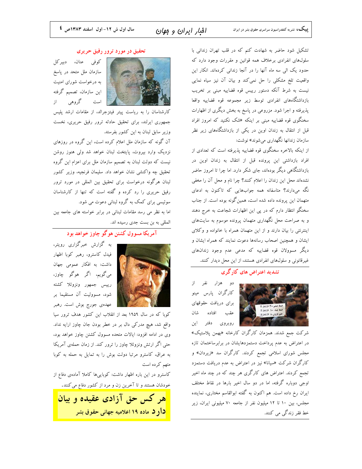افبار ايران و مهان

تشکیل شود حاضر به شهادت کنم که در قلب تهران زندانی با سلولهای انفرادی برخلاف همه قوانین و مقررات وجود دارد که حدود یک الی سه ماه آنها را در آنجا زندانی کردهاند. انکار این واقعیت تلخ مشکلی را حل نمی کند و بیان آن نیز سیاه نمایی نیست به شرط آنکه دستور رییس قوه قضاییه مبنی بر تخریب بازداشتگاههای انفرادی توسط زیر مجموعه قوه قضاییه واقعا پذیرفته و اجرا شود. مزروعی در پاسخ به بخش دیگری از اظهارات سخنگوی قوه قضاییه مبنی بر اینکه «شک نکنید که امروز افراد قبل از انتقال به زندان اوین در یکی از بازداشتگاههای زیر نظر سازمان زندانها نگهداری می شوند» نوشت:

از اینکه بالاخره سخنگوی قوه قضاییه پذیرفته است که تعدادی از افراد بازداشتی این پرونده قبل از انتقال به زندان اوین در بازداشتگاهی دیگر بودهاند، جای شکر دارد. اما چرا تا امروز حاضر نشدهاند محل این زندان را اعلام کنند؟ چرا نام و محل آن را مخفی نگه میدارند؟ متاسفانه همه جوابهایی که تاکنون به ادعای متهمان این پرونده داده شده است، همینگونه بوده است. از جناب سخنگو انتظار دارم که در پی این اظهارات شجاعت به خرج دهند و به صراحت محل نگهداری متهمان پرونده موسوم به سایتهای اینترنتی را بیان دارند و از این متهمان همراه با خانواده و وکلای ایشان و همچنین اصحاب رسانهها دعوت نمایند که همراه ایشان و دیگر مسوولان قوه قضاییه که مدعی عدم وجود زندانهای غیرقانونی و سلولهای انفرادی هستند، از این محل دیدار کنند.

## تشدید اعتراض های کار گری



دو هزار نفر از کارگران پارس مینو برای دریافت حقوقهای عقب افتاده شان روبروی دفتر این

شرکت جمع شدند. همزمان کارگران کارخانه «بهمن پلاستیک» در اعتراض به عدم پرداخت دستمزدهایشان در برابرساختمان تازه مجلس شورای اسلامی تجمع کردند. کارگران سد «زیردان» و کارگران شرکت «سیانا» نیز در اعتراض به عدم دریافت دستمزد تجمع کردند. اعتراض های کارگری هر چند که در چند ماه اخیر اوجی دوباره گرفته، اما در دو سال اخیر بارها در نقاط مختلف ایران رخ داده است. هم اکنون به گفته ابوالقاسم مختاری، نماینده مجلس، بین ١٠ تا ١٢ میلیون نفر از جامعه ٧٠ میلیونی ایران، زیر خط فقر زندگی می کنند.

#### تحقیق در مورد ترور رفیق حریری



كوفى عنان، دبيركل سازمان ملل متحد در پاسخ به درخواست شورای امنیت این سازمان، تصمیم گرفته است گروهی از

کارشناسان را به ریاست پیتر فیتزجرالد، از مقامات ارشد پلیس جمهوری ایرلند، برای تحقیق حادثه ترور رفیق حریری، نخست وزیر سابق لبنان به این کشور بفرستد.

آن گونه که سازمان ملل اعلام کرده است، این گروه در روزهای نزدیک وارد بیروت، پایتخت لبنان خواهد شد ولی هنوز روشن نیست که دولت لبنان به تصمیم سازمان ملل برای اعزام این گروه تحقیق چه واکنشی نشان خواهد داد. سلیمان فرنجیه، وزیر کشور لبنان هرگونه درخواست برای تحقیق بین المللی در مورد ترور رفیق حریری را رد کرده و گفته است که تنها از کارشناسان سوئیسی برای کمک به گروه لبنانی دعوت می شود. اما به نظر می رسد مقامات لبنانی در برابر خواسته های جامعه بین المللي به بن بست جدي رسيده اند.

## آمريكا مسوول كشتن هوگو چاوز خواهد بود



به گزارش خبرگزاری رویتر، فیدل کاسترو، رهبر کوبا اظهار داشت: به افکار عمومی جهان ميگويم، اگر هوگو چاوز، رييس جمهور ونزوئلا كشته شود، مسوولیت آن مستقیما بر عهدهی جورج بوش است. رهبر

کوبا که در سال ۱۹۵۹ بعد از انقلاب این کشور هدف ترور سیا واقع شد، هیچ مدرکی دال بر در خطر بودن جان چاوز ارایه نداد. وی در ادامه افزود: ایالات متحده مسوول کشتن چاوز خواهد بود، حتی اگر ارتش ونزوئلا چاوز را ترور کند. از زمان حملهی آمریکا به عراق، كاسترو مرتبا دولت بوش را به تمايل به حمله به كوبا متهم كرده است

کاسترو در این باره اظهار داشت: کوباییها کاملا آمادهی دفاع از خودشان هستند و تا آخرین زن و مرد از کشور دفاع می کنند.

<mark>هر کس حق آزادی عقیده و بیان</mark> <mark>دار د</mark> ماده ۱۹ اعلامیه جهانی حقوق بشر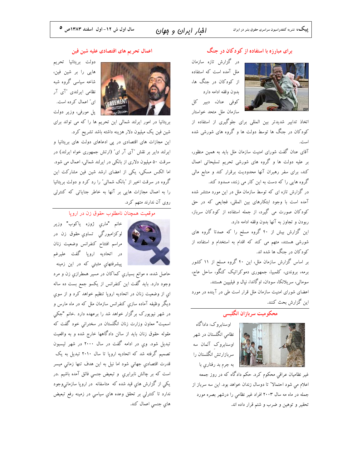## افبار ايران و مهان

## برای مبارزه با استفاده از کو دکان در جنگ

در گزارش تازه سازمان ملل آمده است که استفاده از کودکان در جنگ ها، بدون وقفه ادامه دارد كوفى عنان، دبير كل سازمان ملل متحد خواستار

اتخاذ تدابیر شدیدتر بین المللی برای جلوگیری از استفاده از کودکان در جنگ ها توسط دولت ها و گروه های شورشی شده است.

آقای عنان گفت شورای امنیت سازمان ملل باید به همین منظور، بر علیه دولت ها و گروه های شورشی تحریم تسلیحاتی اعمال کند، برای سفر رهبران آنها محدودیت برقرار کند و منابع مالی گروه هایی را که دست به این کار می زنند، مسدود کند.

در گزارش تازه ای که توسط سازمان ملل در این مورد منتشر شده آمده است با وجود ابتکارهای بین المللی، فجایعی که در حق کودکان صورت می گیرد، از جمله استفاده از کودکان سرباز، ربودن و تجاوز به آنها بدون وقفه ادامه دارد.

این گزارش بیش از ۴۰ گروه مسلح را که عمدتا گروه های شورشی هستند، متهم می کند که اقدام به استخدام و استفاده از کودکان در جنگ ها شده اند.

بر اساس گزارش سازمان ملل، این ۴۰ گروه مسلح از ۱۱ کشور برمه، بروندی، کلمبیا، جمهوری دموکراتیک کنگو، ساحل عاج، سومالی، سریلانکا، سودان، اوگاندا، نپال و فیلیپین هستند.

اعضای شورای امنیت سازمان ملل قرار است طی در آینده در مورد این گزارش بحث کنند.

## محکومیت سربازان انگلیسی



نظامی انگلستان در شهر اوسنابروک آلمان سه سربازارتش انگلستان را به جرم بد رفتاری با

اوسنابروک: داداگاه

غیر نظامیان عراقی محکوم کرد. حکم دادگاه که در روز جمعه اعلام می شود احتمالا" تا دوسال زندان خواهد بود. این سه سرباز از جمله در ماه مه سال ۲۰۰۳ افراد غیر نظامی را درشهر بصره مورد تحقير و توهين و ضرب و شتم قرار داده اند.

#### اعمال تحريم هاى اقتصادى عليه شين فين



دولت بريتانيا تحريم هایی را بر شین فین، شاخه سیاسی گروه شبه نظامی ایرلندی "آی آر ای" اعمال کرده است. پل مورفی، وزیر دولت

بریتانیا در امور ایرلند شمالی این تحریم ها را که می تواند برای شین فین یک میلیون دلار هزینه داشته باشد تشریح کرد.

این مجازات های اقتصادی در پی ادعاهای دولت های بریتانیا و ایرلند دایر بر نقش "آی آر ای" (ارتش جمهوری خواه ایرلند) در سرقت ۵۰ میلیون دلاری از بانکی در ایرلند شمالی، اعمال می شود. اما الکس مسکی، یکی از اعضای ارشد شین فین مشارکت این گروه در سرقت اخیر از "بانک شمالی" را رد کرد و دولت بریتانیا را به اعمال مجازات هایی بر آنها به خاطر جنایاتی که کنترلی روی آن ندارند متهم کرد.

#### موقعیت همچنان نامطلوب حقوق زن در اروپا



خانم "ماري ژوزه ياكوب" وزير لوکزامبورگي تساوي حقوق زن در مراسم افتتاح كنفرانس وضعيت زنان در اتحادیه اروپا گفت علیرغم پیشرفتهاي مثبتی که در این زمینه

حاصل شده، ه موانع بسیاریِ کماکان در مسیر همطرازیِ زن و مرد وجود دارد. باید گفت این کنفرانس از یکسو جمع بست ده ساله اي از وضعيت زنان در اتحاديه اروپا تنظيم خواهد كرد و از سوي دیگر وظیفه آماده سازی کنفرانس سازمان ملل که در ماه مارس و در شهر نیویورک برگزار خواهد شد را برعهده دارد .خانم "جکی اسمیت" معاون وزارت زنان انگلستان در سخنرانی خود گفت که مقوله حقوق زنان باید از سالن دادگاهها خارج شده و به واقعیت تبدیل شود. وي در ادامه گفت در سال ۲۰۰۰ در شهر لیسبون تصمیم گرفته شد که اتحادیه اروپا تا سال ۲۰۱۰ تبدیل به یک قدرت اقتصادی جهانی شود اما نیل به این هدف تنها زمانی میسر است که بر چالش نابرابري و تبعيض جنسي فائق آمده باشيم .در یکی از گزارش های قید شده که متاسفانه در اروپا سازمانیوجود ندارد تا کنترلی بر تحقق وعده های سیاسی در زمینه رفع تبعیض های جنسی اعمال کند.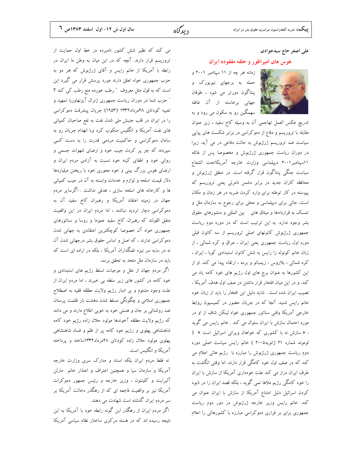## علی اصغر حاج سیدجوادی

#### هوس های امپراطور و حلقه مفقوده ایران

ما از از از از ۱۱ سپتامبر ۲۰۰۱ و حمله به برجهای نیویورک و پنتاگون دورتر می شود ، طوفان جهانی برخاسته از آن غافله استان استمکین رو به سکون می رود و به

تدریج عکس العمل تهاجمی آن به وسیله کاخ سفید ، زیر عنوان مقابله با تروریسم و دفاع از دموکراسی در برابر شکست های پیاپی سیاست ضد تروریسم ژرژبوش به حالت دفاعی در می آید. زیرا در دوران ریاست جمهوری ژرژبوش و مخصوصا پس از غائله ١١سپتامبر٢٠٠١ ديپلماسي وزارت خارجه آمريكاتحت الشعاع سیاست جنگی پنتاگون قرار گرفته است. در منطق ژرژبوش و محافظه کاران جدید در برابر دشمن نامرئ<sub>ی</sub> یعنی تروریسم که پیوسته در کار توطئه برای وارد کردن ضربه در هر زمان و مکان است، جائی برای دیپلماسی و محلی برای رجوع به سازمان ملل و تمسک به قراردادها و میثاق های پین المللی و منشورهای حقوق بشر وجود ندارد. به این ترتیب است که در دوره دوم ریاست جمهوری ژرژبوش کانونهای اصلی تروریسم از سه کانون قبلی دوره اول ریاست جمهوری یعنی ایران ، عراق و کره شمالی ، از زبان خانم کونوله زا رایس به شش کانون استبدادی کوبا ، ایران ، کره شمالی ، بلاروس ، زیمبائو و برمه ، ارتقاء پیدا می کند. او از این کشورها به عنوان برج های اول رژیم های خود کامه یاد می کند. و در این میان افتخار قرار داشتن در صف اول هدف آمریکا ، نصیب ایران شده است . شاید دلیل این افتخار را باید از زبان خود خانم رایس شنید. آنجا که در جریان حضور در کمیسیون روابط خارجی آمریکا وقتی سناتور جمهوری خواه لینکن شاف از او در مورد احتمال سازش با ایران سئوال می کند . خانم رایس می گوید : « سازش نه با کشوری که خواهان ویرانی اسرائیل است » ( لوموند شماره ۲۱ ژانویه۲۰۰۵ ) خانم رایس سیاست اصلی دوره دوم ریاست جمهوری ژرژبوش را مبارزه با رژیم هائی اعلام می کند که در صف اول خود کامگی قرار دارند. اما وقتی انگشت به طرف ایران دراز می کند علت خودداری آمریکا از سازش با ایران را خود کامگی رژیم ملاها نمی گوید ، بلکه قصد ایران را در نابود کردن اسرائیل دلیل امتناع آمریکا از سازش با ایران عنوان می کند. خانم رایس وزیر خارجه ژرژبوش در دور دوم ریاست جمهوری برای بر قراری دموکراسی مبارزه با کشورهائی را اعلام

می کند که نظیر شش کشور نامبرده در خط اول حمایت از تروریسم قرار دارند. آنچه که در این میان به وطن ما ایران در رابطه با آمریکا از خانم رایس و آقای ژرژبوش که هر دو به حزب جمهوری خواه تعلق دارند مورد پرسش قرار می گیرد این است که به قول مثل معروف ″ رطب خورده منع رطب کی کند ؟ " حزب شما در دوران ریاست جمهوری ژنرال آیزنهاوربا تمهید و تعبیه کودتای ۲۸مرداد۱۳۳۲ (۱۹۵۳) جریان پیشرفت دموکراسی را در ایران در قلب جنبش ملی شدن نفت به نفع صاحبان کمپانی های نفت آمریکا و انگلیس منکوب کرد وبا انهدام جریان رو به سامان دموکراسی و حاکمیت مردمی قدرت را به دست کسی سپردند که جز پر کردن جیب خود و ارضای شهوات جسمی و روانی خود و اطفای کینه خود نسبت به آزادی مردم ایران و ارضای هوس بزرگ بینی و خود محوری خود با ریختن میلیاردها دلار قیمت اسلحه و لوازم و خدمات وابسته به آن در جیب کمپانی ها و کارخانه های اسلحه سازی ، هدفی نداشت . اگرسایر مردم جهان در زمینه اعتقاد آمریکا و رهبران کاخ سفید آن به دموکراسی دچار تردید نباشند ، اما مردم ایران در این واقعیت متفق القولند که رهبران کاخ سفید عموما و روسا و سناتورهای جمهوری خواه آن خصوصا کوچکترین اعتقادی به جهانی شدن دموکراسی ندارند ، که اصل و اساس حقوق بشر درجهانی شدن آن نه در سایه سر نیزه تفنگداران آمریکا ، بلکه در اراده ای است که باید در سازمان ملل متحد به تحقق برسد.

اگر مردم جهان از علل و موجبات تسلط رژیم های استبدادی و خود کامه در کشور های زیر سلطه بی خبرند ، اما مردم ایران از علت وجود مشئوم و پر ادبار رژیم ولایت مطلقه فقیه به اصطلاح جمهوری اسلامی و چگونگی مسلط شدن دهشت بار ظلمت پرستان ضد روشنائی بر جان و هستی خود به خوبی اطلاع دارند و می دانند كه رژيم ولايت مطلقه آخوندها مولود حلال زاده رژيم خود كامه شاهنشاهی پهلوی و رژیم خود کامه پر از ظلم و فساد شاهنشاهی پهلوی مولود حلال زاده کودتای ۲۸مرداد۱۳۳۲ساخته و پرداخته آمریکا و انگلیس است.

نه فقط مردم ایران بلکه اسناد و مدارک سری وزارت خارجه آمریکا و سازمان سیا و همچنین اعتراف و اعتذار خانم مارلن آلبرایت و کلینتون ، وزیر خارجه و رئیس جمهور دموکرات آمریکا نیز بر واقعیت فاجعه ای که از رهگذر دخالت آمریکا بر سر مردم ایران گذشته است شهادت می دهند.

اگر مردم ایران از رهگذر این گونه رابطه خود با آمریکا به این نتیجه رسیده اند که در هسته مرکزی ساختار نظام سیاسی آمریکا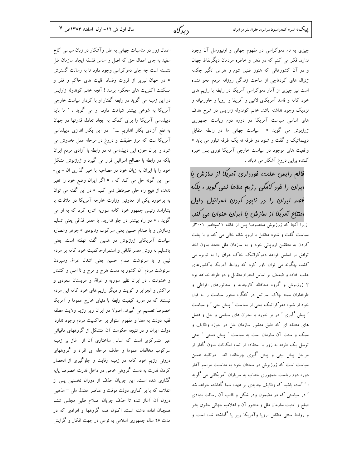چیزی به نام دموکراسی در مفهوم جهانی و اونیورسل آن وجود ندارد. فکر می کنم که در ذهن و خاطره مردمان دیگرنقاط جهان و در آن کشورهائی که هنوز طنین شوم و هراس انگیز چکمه ژنرال های کودتاچی از ساحت زندگی روزانه مردم محو نشده است نیز چیزی از آمار دموکراسی آمریکا در رابطه با رژیم های خود کامه و فاسد آمریکای لاتین و آفریقا و اروپا و خاورمیانه و نزدیک وجود نداشته باشد. خانم کوندوله زارایس در شرح هدف های اساسی سیاست آمریکا در دوره دوم ریاست جمهوری ژرژبوش می گوید « سیاست جهانی ما در رابطه متقابل دییلماتیک و گفت و شنود دو طرفه نه یک طرفه تبلور می یابد » واقعیت های موجود در سیاست خارجی آمریکا نوری بس خیره کننده براین دروغ آشکار می تاباند .

فانع رایس علت فورداری آمریکا از سازش با ایران را فور کامگی رژیم ملاها نمی گویر ، بلکه قصر ایران را در نابود کردن اسرائیل دلیل امتناع آمریکا از سازش با ایران عنوان می کند. زیرا آنجا که ژرژبوش مخصوصا پس از غائله ۱۱سپتامبر ۲۰۰۱از سیاست گفت و شنود متقابل با اروپا شانه خالبی می کند و با پشت کردن به متفقین اروپائی خود و به سازمان ملل متحد بدون اخذ توافق بر اساس قواعد دموکراتیک خاک عراق را به توبره می کشد، چگونه می توان باور کرد که روابط آمریکا باکشورهای عقب افتاده و ضعیف بر اساس احترام متقابل و دو طرفه خواهد بود ؟ ژرژبوش و گروه محافظه کارجدید و سناتورهای افراطی و طرفداران سینه چاک اسرائیل در کنگره محور سیاست را به قول خود از شیوه دموکراتیک یعنی از سیاست " پیش بینی " و سیاست " پیش گیری " در بر خورد با بحران های سیاسی و حل و فصل های منطقه ای که طبق منشور سازمان ملل در حوزه وظایف و سبک و سنت آن سازمان است به سیاست " پیش دستی " یعنی توسل یک طرفه به زور با استفاده از تمام امکانات بدون گذار از مراحل پیش بینی و پیش گیری چرخانده اند. درتائید همین سیاست است که ژرژبوش در سخنان خود به مناسبت مراسم آغاز دوره دوم ریاست جمهوری خطاب به سربازان آمریکائی می گوید : " آماده باشید که وظایف جدیدی بر عهده شما گذاشته خواهد شد ″ در سیاستی که در مضمون ودر شکل و قالب آن رسالت بنیادی صلح و امنیت سازمان ملل و منشور آن و اعلامیه جهانی حقوق بشر و روابط سنتی متقابل اروپا وآمریکا زیر پا گذاشته شده است و

اعمال زور در مناسبات جهانی به علن وآشکار در زبان سیاسی کاخ سفید به جای اعمال حق که اصل و اساس فلسفه ایجاد سازمان ملل نشسته است چه جای دموکراسی وجود دارد تا به رسالت گسترش « در جهان لبریز از ثروت وفساد اقلیت های حاکم و فقر و مسکنت اکثریت های محکوم برسد ! آنچه خانم کوندوله زارایس در این زمینه می گوید در رابطه گفتار او با کردار سیاست خارجی آمریکا به شوخی بیشتر شباهت دارد. او می گوید : " ما باید دیپلماسی آمریکا را برای کمک به ایجاد تعادل قدرتها در جهان به نفع آزادی بکار اندازیم ...." در این بکار اندازی دیپلماسی آمریکا ست که مرز حقیقت و دروغ در مرحله عمل مخدوش می شود و ایران حوزه این دیپلماسی نه در رابطه با آزادی مردم ایران بلکه در رابطه با مصالح اسرائیل قرار می گیرد و ژرژبوش مشکل خود را با ایران به زبان خود در مصاحبه با خبر گذاری ان - بی-سی این گونه حل می کند که : « اگر ایران وضع خود را تغیر ندهد، از هیچ راه حلی صرفنظر نمی کنیم » در این گفته می توان به برخورد یکی از معاونین وزارت خارجه آمریکا در ملاقات با بشاراسد رئیس جمهور خود کامه سوریه اشاره کرد که به او می گوید : « دو راه بیشتر در جلو ندارید، یا معمر قذافی یعنی تسلیم وسازش و یا صدام حسین یعنی سرکوب ونابودی » جوهر وعصاره سیاست آمریکای ژرژبوش در همین گفته نهفته است. یعنی یاتسلیم به روش معمر قذافی و استمرارحاکمیت خود کامه بر مردم لیبی و یا سرنوشت صدام حسین یعنی اشغال عراق وسپردن سرنوشت مردم آن کشور به دست هرج و مرج و نا امنی و کشتار و خشونت . در ایران نظیر سوریه و عراق و عربستان سعودی و مراکش و الجزایر و کویت و دیگر رژیم های خود کامه این مردم نیستند که در مورد کیفیت رابطه با دنیای خارج عموما و آمریکا خصوصا تصمیم می گیرند. اصولا در ایران زیر رژیم ولایت مطلقه فقیه دولت به معنا و مفهوم استوار بر حاکمیت مردم وجود ندارد. دولت ایران و در نتیجه حکومت آن متشکل از گروههای مافیائی غیر متمرکزی است که اساس ساختاری آن از آغاز بر زمینه سرکوب مخالفان عموما و حذف مرحله ای افراد و گروههای درونی رژیم خود کامه در زمینه رقابت و جلوگیری از انحصار کردن قدرت به دست گروهی خاص در داخل قدرت خصوصا پایه گذاری شده است. این جریان حذف از دوران نخستین پس از انقلاب که با بر کناری دولت موقت و عناصر معتدل ملی <sup>—</sup> مذهبی درون آن آغاز شده تا حذف جريان اصلاح طلبي مجلس ششم همچنان ادامه داشته است. اکنون همه گروهها و افرادی که در مدت ۲۶ سال جمهوری اسلامی به نوعی در جهت افکار و گرایش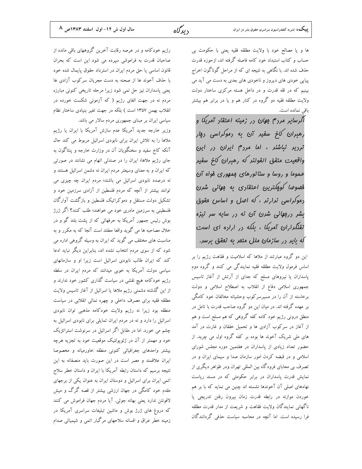سال اول ش ١٢- اول اسفند ١٣٨٣ص ٨

ها و يا مصالح خود با ولايت مطلقه فقيه يعني با حكومت بي حساب و کتاب استبداد خود کامه فاصله گرفته اند، ازحوزه قدرت حذف شده اند. با نگاهی به نتیجه ای که از مراحل گوناگون اخراج پیاپی خودی های دیروز و ناخودی های بعدی به دست می آید می بینیم که در قله قدرت و در داخل هسته مرکزی ساختار دولت ولایت مطلقه فقیه دو گروه در کنار هم و یا در برابر هم بیشتر باقی نمانده است.

آلرسایر مردم موان در زمینه اعتقاد آمریکا و رهبران کاخ سفیر آن به دموکراسی دی*ار* ترریر نباشنر ، اما مررم ایران در این واقعيت متفق القولند كه رهبران كاخ سفير عموما و روسا و سناتورهای ممهوری فواه آن فهوما كومكترين اعتقاري به مهاني شرن <sub>د</sub>موکراسی نرا*رنر ، که امیل و اساس* مقوق یشر ررب*وبانی شرن آن نه در سایه سر نیز*ه تفنگراران آمریکا ، بلکه در اراده ای است که بایر در سازمان ملل متمر به تمقق برسر.

این دو گروه عبارتند از ملاها که اسلامیت و فقاهت رژیم را بر اساس فرمول ولایت مطلقه فقیه نمایندگی می کنند و گروه دوم پاسداران یا نیروهای مسلح که جدای از آرتش از آغاز تاسیس جمهوری اسلامی دفاع از انقلاب به اصطلاح اسلامی و دولت برخاسته از آن را در مسیرسرکوب وحشیانه مخالفان خود کامگی بر عهده گرفته اند. در میان این دو گروه صاحب قدرت با تامل در منطق درونی رژیم خود کامه کفه گروهی که هم مسلح است و هم از آغاز در سرکوب آزادی ها و تحمیل خفقان و غارت در آمد های ملی شریک آخوند ها بوده بر کفه گروه اول می چربد. از حضور تعداد زیادی از پاسداران در هفتمین دوره مجلس شورای اسلامی و در قبضه کردن امور سازمان صدا و سیمای ایران و در تصرف بی محابای فرودگاه بین المللی تهران ودر ظواهر دیگری از نمایش قدرت پاسداران در برابر حکومتی که در مسند ریاست نهادهای اصلی آن آخوندها نشسته اند چنین می نماید که با بر هم خوردن موازنه در رابطه قدرت زمان بيرون رفتن تدريجي يا ناگهانی نمایندگان ولایت فقاهت و شریعت از مدار قدرت مطلقه فرا رسیده است. اما آنچه در محاسبه سیاست حذفی گردانندگان

رژیم خودکامه و در عرصه رقابت آخرین گروههای باقی مانده از صاحبان قدرت به فراموشی سپرده می شود این است که بحران قانون اساسی یا حق مردم ایران در استرداد حقوق پایمال شده خود با حذف آخوند ها از صحنه به دست مجریان سرکوب آزادی ها یعنی پاسداران نیز حل نمی شود زیرا مرحله تاریخی کنونی مبارزه مردم نه در جهت الغای رژیم ( که آزمونی شکست خورده در انقلاب بهمن ١٣۵٧ است ) بلكه در جهت تغير بنيادي ساختار نظام سیاسی ایران بر مبنای جمهوری مردم سالار می باشد.

وزیر خارجه جدید آمریکا عدم سازش آمریکا با ایران یا رژیم ملاها را به تلاش ایران برای نابودی اسرائیل مربوط می کند حال آنکه کاخ سفید و سخنگویان آن در وزارت خارجه و پنتاگون به جای رژیم ملاها؛ ایران را در صندلی اتهام می نشانند در صورتی که ایران و به معنای وسیعتر مردم ایران نه دشمن اسرائیل هستند و نه درصدد نابودی اسرائیل می باشند؛ مردم ایران چه چیزی می توانند بیشتر از آنچه که مردم فلسطین از آزادی سرزمین خود و تشکیل دولت مستقل و دموکراتیک فلسطین و بازگشت آوارگان فلسطینی به سرزمین مادری خود می خواهند؛ طلب کنند؟ اگر ژرژ بوش رئیس جمهور آمریکا به حرفهائی که از پشت بلند گو و در خلال مصاحبه ها می گوید واقعا معقتد است آنجا که به مکرر و به مناسبت های مختلف می گوید که ایران به وسیله گروهی اداره می شود که از سوی مردم انتخاب نشده اند، بنابراین دیگر نباید ادعا کند که ایران طالب نابودی اسرائیل است زیرا او و سازمانهای سیاسی دولت آمریکا به خوبی میدانند که مردم ایران در سلطه رژیم خودکامه هیچ نقشی در سیاست گذاری کشور خود ندارند و از این گذشته دشمنی رژیم ملاها یا اسرائیل از آغاز تاسیس ولایت مطلقه فقیه برای مصرف داخلی و چهره نمائی انقلابی در سیاست منطقه بود زیرا نه رژیم ولایت خودکامه مذهبی توان نابودی اسرائیل را دارد و نه در مردم ایران تمایلی برای نابودی اسرائیل به چشم می خورد. اما در مقابل اگر اسرائیل در سرنوشت استراتژیک خود و مهمتر از آن در ژئوپولتیک موقعیت خود به تجزیه هرچه بیشتر واحدهای جغرافیائی کنونی منطقه خاورمیانه و مخصوصا ایران علاقمند و مصر است در این صورت باید منصفانه به این نتيجه برسيم كه داستان رابطه آمريكا با ايران و داستان خطر سلاح اتمی ایران برای اسرائیل و دوستان ایران به عنوان یکی از برجهای مقدم خود کامگی در جهان ارزشی بیشتر از قصه گرگ و میش لافونتن ندارد يعني بهانه جوئي. آيا مردم جهان فراموش مي كنند که دروغ های ژرژ بوش و ماشین تبلیغات سراسری آمریکا در زمینه خطر عراق و افسانه سلاحهای مرگبار اتمی و شیمیائی صدام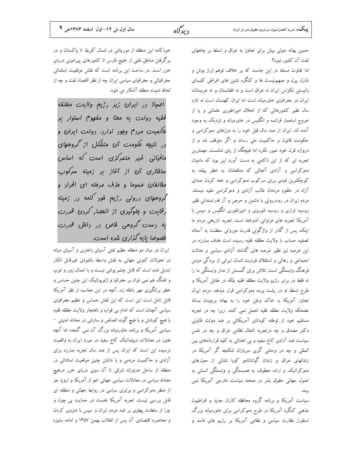حسین بهانه جوئی بیش برای تجاوز به عراق و تسلط بر چاههای نفت آن کشور نبود؟

اما تفاوت مسئله در این جاست که بر خلاف توهم ژرژ بوش و شارل پرل و صهیونیست ها و کنگره نشین های افراطی کلیسای باتیستی تکزاس ایران نه عراق است و نه افغانستان و نه عربستان؛ ایران در جغرافیای خاورمیانه است اما ایران کهنسال است نه تازه سال نظیر کشورهائی که از انحلال امپراطوری عثمانی و یا از خروج استعمار فرانسه و انگلیس در خاورمیانه و نزدیک به وجود آمده اند. ایران از صد سال قبل خود را به مرزهای دموکراسی و حکومت قانون و حاکمیت ملی رساند و اگر متوقف شد و از دروازه قرن خود عبور نکرد اما هیچگاه از پای ننشست. مهمترین تجربه ای که از این ناکامی به دست آورد این بود که داعیان دموکراسی و آزادی آنجائی که منافعشان به خطر بیفتد به کوچکترین قیدی برای سرکوب دموکراسی و خفه کردن صدای آزاد در حلقوم مردمان طالب آزادی و دموکراسی مقید نیستند. مردم ایران در رودرروئی با دشمن و حرص و آز قدرتمندانی نظیر روسیه تزاری و روسیه شوروی و امپراطوری انگلیس و سپس با آمریکا تجربه های فراوانی اندوخته است. تجربه تاریخی مردم ما اینک پس از گذار از واژگونی قدرت موروثی سلطنت به آستانه تصفيه حساب با ولايت مطلقه فقيه رسيده است هدف مبارزه در این عرصه نیز نظیر عرصه های گذشته آزادی سیاسی و عدالت اجتماعی و رهائی و استقلال فردیت انسان ایرانی از بردگی مزمن فرهنگ وابستگی است. تلاش برای گسستن از مدار وابستگی ما را نه فقط در برابر رژیم ولایت مطلقه فقیه بلکه در مقابل آمریکا و طرح تسلط او در یشت پرده دموکراسی قرار میدهد. مردم ایران تجاوز آمریکا به خاک وطن خود را به بهانه برچیدن بساط مضحکه ولایت مطلقه فقیه تحمل نمی کنند. زیرا چه در تجربه مستقیم خود از توطئه کودتای آمریکائی بر ضد دولت قانونی دکتر مصدق و چه درتجربه اشغال نظامی عراق و چه در نفس سیاست ضد آزادی کاخ سفید و بی اعتنائی به کلیه قراردادهای بین المللی و چه در وحشی گری سربازان شکنجه گر آمریکا در زندانهای عراق و زندان گوانتانامو کوبا نشانی از معیارهای دموکراتیک و اراده معطوف به همبستگی و وابستگی انسانی به اصول جهانی حقوق بشر در صحنه سیاست خارجی آمریکا نمی ىىند.

سیاست آمریکا و برنامه گروه محافظه کاران جدید و افراطیون مذهبی کنگره آمریکا در طرح دموکراسی برای خاورمیانه بزرگ استقرار نظارت سیاسی و نظامی آمریکا بر رژیم های فاسد و

خودکامه این منطقه از موریتانی در شمال آفریقا تا پاکستان و در برگرفتن مناطق نفتی از خلیج فارس تا کشورهای پیرامونی دریای خزر است. در ساحت این برنامه است که نقش موقعیت استثنائی جغرافیائی و جغرافیای سیاسی ایران چه از نظر اقتصاد نفت و چه از لحاظ امنيت منطقه آشكار مي شود.

اصولا در ايران زير رژيم ولايت مطلقه فقيه رولت به معنا و مفهوم استوار بر ه*اک*میت مر<sub>د</sub>م وبور نرار<sub>د</sub>. رولت ایران و در نتیجه ککومت آن متشکل از گروههای مافیائی غیر متمرکزی است که اساس سافتاری آن از آغاز بر زمینه سرکوب .<br>مف*الغان ع*موم*ا و هزف مر*مله ای ا*فر*ار و گروههای درونی رژیع فود کامه در زمینه رقابت و بلوگیری از انفقبار کردن قررت به دست گروهی فاص در دافل قدرت فهیومیا بایه گزاری شره است.

ایران در میان دو منطقه عظیم نفتی آسیای باختری و آسیای میانه در تحولات كنوني جهاني به نقش واسطه بانفوذي غيرقابل انكار تبدیل شده است که قابل چشم پوشی نیست و با اعمال زور و توپ و تفنگ هم نمی توان بر جغرافیا و ژئوپولتیک این چنین حساس و خطر برانگیزی مهر باطله زد. آنچه در این محاسبه از نظر آمریکا قابل تامل است این است که این نقش حساس و عظیم جغرافیای سیاسی آنچنان است که اندام بی قواره و ناهنجار ولایت مطلقه فقیه با هیچ کوشش و با هیچ گونه اغماض و سازشی در معادله امنیتی – سیاسی آمریکا و برنامه خاورمیانه بزرگ آن نمی گنجد؛ اما آنچه هنوز در معادلات دیپلماتیک کاخ سفید در مورد ایران به واقعیت نرسیده این است که ایران پس از صد سال تجربه مبارزه برای آزادی و حاکمیت مردمی و با داشتن چنین موقعیت استثنائی در منطقه از ساحل مدیترانه شرقی تا آن سوی دریای خزر درهیچ معادله سیاسی در معادلات سیاسی جهانی اعم از آمریکا و اروپا جز از منظر دموکراسی و برابری سیاسی در روابط جهانی و منطقه ای قابل بررسی نیست. تجربه آمریکا نخست در حمایت بی چون و چرا از سلطنت پهلوی بر ضد مردم ایران و سپس با منزوی کردن و محاصره اقتصادی آن پس از انقلاب بهمن ۱۳۵۷ و ادامه ستیزه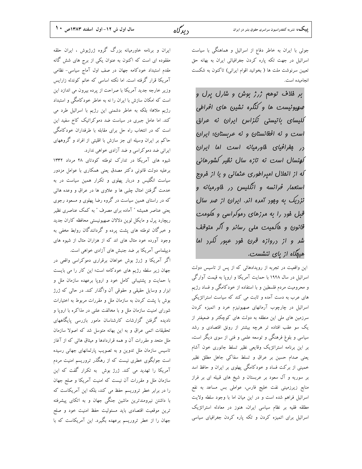جوئی با ایران به خاطر دفاع از اسرائیل و هماهنگی با سیاست اسرائیل در جهت تکه پاره کردن جغرافیائی ایران به بهانه حق تعیین سرنوشت ملت ها ( بخوانید اقوام ایرانی) تاکنون به شکست انحاميده است.

بر فلاف توهم ژرژ بوش و شارل برل و صورونیست ها و کنگره نشین های افراطی للیسای باتیستی تکزاس ایران نه عراق است و نه افغانستان و نه عربستان؛ ایران رر بغرافیای فاورمیانه است اما ایران کونسال است نه تازه سال نظیر کشورهائی که از انملال امیراطوری عثمانی و یا از فروج استعمار فرانسه و انگلیس در فاورمیانه و نزریک به ومور آمره انر. ایران از صر سال قبل فور را به مرزهای دموکراسی و مکومت قانون و ماکمیت ملی رسانر و اگر متوقف شر و از دروازه قرن فود عبور نکرد اما هیهگاه از پای ننشست.

این واقعیت در تجربه از رویدادهائی که از پس از تاسیس دولت اسرائیل در سال ۱۹۴۸ با حمایت آمریکا و اروپا به قیمت آوارگی و محرومیت مردم فلسطین و با استفاده از خودکامگی و فساد رژیم های عرب به دست آمده و ثابت می کند که سیاست استراتژیکی اسرائیل در چارچوب آرمانهای صهیونیزم خرد و اتمیزه کردن سرزمین های ملی این منطقه به دولت های کوچکتر و ضعیفتر از یک سو عقب افتاده تر هرچه بیشتر از رونق اقتصادی و رشد سیاسی و بلوغ فرهنگی و توسعه علمی و فنی از سوی دیگر است، بر این برنامه استراتژیک وقایعی نظیر تسلط جانوری خون آشام یعنی صدام حسین بر عراق و تسلط سفاکی جاهل مطلق نظیر خمینی از برکت فساد و خودکامگی پهلوی بر ایران و حافظ اسد بر سوریه و آل سعود بر عربستان و شیخ های قبیله ای بر فراز منابع زیرزمینی نفت خلیج فارس، عواملی بس مساعد به نفع اسرائیل فراهم شده است و در این میان اما با وجود سلطه ولایت مطلقه فقیه بر نظام سیاسی ایران، هنوز در معادله استراتژیک اسرائیل برای اتمیزه کردن و تکه پاره کردن جغرافیای سیاسی

ایران و برنامه خاورمیانه بزرگ گروه ژرژبوش ، ایران حلقه مفقوده ای است که اکنون به عنوان یکی از برج های شش گانه مقدم استبداد خودکامه جهان در صف اول آماج سیاسی- نظامی آمریکا قرار گرفته است. اما نکته اساسی که خانم کوندله زارایس وزیر خارجه جدید آمریکا با صراحت از پرده بیرون می اندازد این است که امکان سازش با ایران را نه به خاطر خودکامگی و استبداد رژیم ملاها؛ بلکه به خاطر دشمنی این رژیم با اسرائیل طرد می کند. اما عامل جبری در سیاست ضد دموکراتیک کاخ سفید این است که در انتخاب راه حل برای مقابله با طرفداران خودکامگی حاکم بر ایران وسیله ای جز سازش با اقلیتی از افراد و گروههای ایرانی ضد دموکراسی و ضد آزادی خواهی ندارد.

شیوه های آمریکا در تدارک توطئه کودتای ۲۸ مرداد ۱۳۳۲ برعلیه دولت قانونی دکتر مصدق یعنی همکاری با عوامل مزدور سیاست انگلیس و دربار یهلوی و تکرار همین سیاست در به خدمت گرفتن امثال چلبی ها و علاوی ها در عراق و وعده هائی که در راستای همین سیاست در گروه رضا پهلوی و مسعود رجوی یعنی عناصر همیشه " آماده برای مصرف " به کمک عناصری نظیر ریچارد پرل و مایکل لوین دلالان صهیونیستی محافظه کاران جدید و خبرگان توطئه های پشت پرده و گردانندگان روابط مخفی به وجود آورده خود مثال های اند که از هزاران مثال از شیوه های دیپلماسی آمریکا بر ضد جنبش های آزادی خواهی است.

اگر آمریکا و ژرژ بوش خواهان برقراری دموکراسی واقعی در جهان زیر سلطه رژیم های خودکامه است؛ این کار را می بایست با حمایت و پشتیبانی کامل خود و اروپا برعهده سازمان ملل و ابزار و وسایل حقیقی و حقوقی آن واگذار کند. در حالی که ژرژ بوش با پشت کردن به سازمان ملل و مقررات مربوط به اختیارات شورای امنیت سازمان ملل و با مخالفت علنی در مذاکره با اروپا و نادیده گرفتن گزارشات کارشناسان مامور بازرسی پایگاههای تحقیقات اتمی عراق و به این بهانه متوسل شد که اصولا سازمان ملل متحد و مقررات آن و همه قراردادها و میثاق هائی که از آغاز تاسیس سازمان ملل تدوین و به تصویب پارلمانهای جهانی رسیده است جوابگوی خطری نیست که از رهگذر تروریسم امنیت مردم آمریکا را تهدید می کند. ژرژ بوش به تکرار گفت که این سازمان ملل و مقررات آن نیست که امنیت آمریکا و صلح جهان را در برابر خطر تروریسم حفظ می کند، بلکه این آمریکاست که با داشتن نیرومندترین ماشین جنگی جهان و به اتکای پیشرفته ترین موقعیت اقتصادی باید مسئولیت حفظ امنیت خود و صلح جهان را از خطر تروریسم برعهده بگیرد. این آمریکاست که با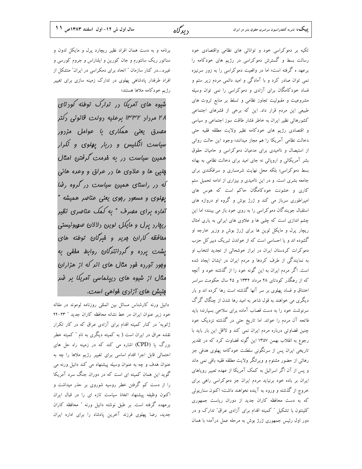تکیه بر دموکراسی خود و توانائی های نظامی واقتصادی خود رسالت بسط و گسترش دموکراسی در رژیم های خودکامه را برعهد ه گرفته است؛ اما در واقعیت دموکراسی را به زور سرنیزه نمی توان صادر کرد و با آمادگی و امید دائمی مردم زیر ستم و فساد خودکامگان برای آزادی و دموکراسی را نمی توان وسیله مشروعیت و مقبولیت تجاوز نظامی و تسلط بر منابع ثروت های طبیعی این مردم قرار داد. این که برخی از قشرهای اجتماعی کشورهائی نظیر ایران به خاطر فشار طاقت سوز اجتماعی و سیاسی و اقتصادی رژیم های خودکامه نظیر ولایت مطلقه فقیه حتبی دخالت نظامی آمریکا را هم مجاز میدانند؛ وجود این حالت روانی از استیصال و ناامیدی برای مدعیان دموکراسی و حامیان حقوق بشر آمریکائی و اروپائی نه جای امید برای دخالت نظامی به بهانه بسط دموکراسی؛ بلکه محل نهایت شرمساری و سرافکندی برای جامعه بشری است. و در این ناامیدی و بیزاری از ادامه تحمیل ستم کاری و خشونت خودکامگان حاکم است که هوس های امپراطوری سرباز می کند و ژرژ بوش و گروه او دروازه های استقبال جویندگان دموکراسی را به روی خود باز می بینند؛ اما این چشم اندازی است که چلبی ها و علاوی های ایرانی به یاری امثال ریچار پرل و مایکل لوین ها برای ژرژ بوش و وزیر خارجه او گشوده اند و یا احساسی است که از خواندن تبریک دبیر کل حزب دموکرات کردستان ایران در ابراز خوشحالی از تجدید انتخاب او به نمایندگی از طرف کردها و مردم ایران در ایشان ایجاد شده است. اگر مردم ایران به این گونه خود را از گذشته خود و آنچه که از رهگذر کودتای ۲۸ مرداد ۱۳۳۲ و ۲۵ سال حکومت سراسر اختناق و فساد یهلوی بر سر آنها گذشته است رها کرده اند و بار دیگری می خواهند به قول شاعر به امید رها شدن از چنگال گرگ سرنوشت خود را به دست قصاب آماده برای سلاخی بسپارند؛ باید فاتحه آن مردم را خواند. اما تاریخ حتی در گذشته نزدیک خود چنین قضاوتی درباره مردم ایران نمی کند و لااقل این بار باید با رجوع به انقلاب بهمن ۱۳۵۷ این گونه قضاوت کرد که در تقدیر تاریخی ایران پس از سرنگونی سلطنت خودکامه پهلوی هدفی جز رهائی از حضور مشئوم و ویرانگر ولایت مطلقه فقیه باقی نمی ماند و پس از آن اگر اسرائیل به کمک آمریکا از عهده تعبیر رویاهای ایران بر باده خود برنیاید مردم ایران جز دموکراسی راهی برای خروج از گذشته و ورود به آینده نخواهند داشت؛ اکنون سناریوئی که به دست محافظه کاران جدید از دوران ریاست جمهوری کلینتون با تشکیل " کمیته اقدام برای آزادی عراق" تدارک و در دور اول رئیس جمهوری ژرژ بوش به مرحله عمل درآمد؛ با همان

برنامه و به دست همان افراد نظیر ریچارد پرل و مایکل لدون و سناتور ریک سانتورم و جان کورین و ایلناراس و جروم کورسی و غیره....در کنار سازمان " اتحاد برای دمکراسی در ایران" متشکل از افراد طرفدار پادشاهی پهلوی در تدارک زمینه سازی برای تغییر رژیم خودکامه ملاها هستند؛

شیوه های آمریکا در ترارک توطئه کودتای ۲۸ مرداد ۱۳۳۲ برعلیه دولت قانونی دکتر مهیرق یعنی هم*کاری با عو*امل مزرور سیاست انگلیس و دربار پهلوی و تکرار همین سیاست در به فرمت گرفتن امثال پلبې ها و علاوي ها در عراق و وعده هائي که در راستای همین سیاست در گروه رضا یهلوی و مسعور ربوی یعنی عناصر همیشه " آماده برای مقبرف " به کمک عناصری نظیر ریفارز برل و مایکل لوین رلالان صهیونیستی مقافظه کاران مریز و فیرگان توطئه های یشت پرده و گردانندگان روابط مففی به ومور آورده فور مثال های انر که از هزاران مثال از شیوه های ریپلماسی آمریکا بر ضر بنیش های آزاری فواهی است.

دانیل ورنه کارشناس مسائل بین المللی روزنامه لوموند در مقاله خود زير عنوان ايران در خط نشانه محافظه كاران جديد " ٢٣-٢۴ ژانویه" در کنار کمیته اقدام برای آزادی عراق که در کار تکرار نقشه عراق در ایران است ( به کمیته دیگری به نام " کمیته خطر بزرگ یا (CPD) اشاره می کند که در زمینه راه حل های احتمالی قابل اجرا اقدام اساسی برای تغییر رژیم ملاها را چه به عنوان هدف و چه به عنوان وسیله پیشنهاد می کند دانیل ورنه می گوید این همان کمیته ای است که در دوران جنگ سرد آمریکا را از دست کم گرفتن خطر روسیه شوروی بر حذر میداشت و اکنون وظیفه پیشنهاد اتخاذ سیاست تازه ای را در قبال ایران برعهده گرفته است. بر طبق نوشته دانیل ورنه ″ محافظه کاران جدید، رضا پهلوی فرزند آخرین پادشاه را برای اداره ایران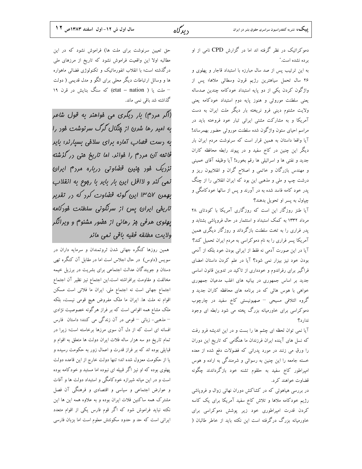دموکراتیک در نظر گرفته اند اما در گزارش CPD نامی از او بر ده نشده است."

به این ترتیب پس از صد سال مبارزه با استبداد قاجار و پهلوی و ۲۶ سال تحمل سیاهترین رژیم قرون وسطائی ملاها؛ پس از واژگون کردن یکی از دو پایه استبداد خودکامه چندین صدساله یعنی سلطنت موروثی و هنوز پایه دوم استبداد خودکامه یعنی ولایت مشئوم دینی فرو نریخته بار دیگر ملت ایران به دست آمریکا و به مشارکت مشتی ایرانی تبار خود فروخته باید در مراسم احیای ستون واژگون شده سلطنت موروثی حضور بهمرساند! آیا واقعا داستان به همین قرار است که سرنوشت مردم ایران بار دیگر این چنین در کاخ سفید و در پیوند رابطه محافظه کاران جديد و نفتي ها و اسرائيلي ها رقم بخورد! آيا وظيفه آقاي خميني و مهندس بازرگان و خاتمی و اصلاح گران و انقلابیون ریز و درشت چپ و ملی و مذهبی این بود که ایران انقلابی را از چنگ پدر خود کامه فاسد شده به در آورند و پس از سالها خودکامگی و چپاول به پسر او تحویل بدهند؟

آیا طنز روزگار این است که روزگاری آمریکا با کودتای ۲۸ مرداد ۱۳۳۲ به کمک استبداد و استثمار در حال فروپاشی بشتابد و پدر فراری را به تخت سلطنت بازگرداند و روزگار دیگری همین آمریکا پسر فراری را به نام دموکراسی به مردم ایران تحمیل کند؟ آیا در این صورت آدمی نه فقط از ایرانی بودن خود بلکه از آدمی بودن خود نیز بیزار نمی شود؟ آیا در علم کردن داستان امضای فراگیر برای رفراندوم و خودداری از تاکید در تدوین قانون اساسی جدید بر اساس جمهوری در بیانیه های اغلب مدعیان جمهوری .<br>خواهی با هوس هائی که در برنامه های محافظه کاران جدید و گروه ائتلافی مسیحی – صهیونیستی کاخ سفید در چارچوب دموکراسی برای خاورمیانه بزرگ پخته می شود رابطه ای وجود ندار د؟

آیا نمی توان لحظه ای چشم ها را بست و در این اندیشه فرو رفت که نسل های آینده ایران فرزندان ما هنگامی که تاریخ این دوران را ورق می زنند در مورد پدرانی که فضولات دفع شده از معده خسته جامعه را این چنین به رسوائی و شرمندگی به اراده و هوس امپراطور کاخ سفید به حلقوم تشنه خود بازگرداندند چگونه قضاوت خواهند کرد.

در بررسی هیاهوئی که در کشاکش دوران نهائی زوال و فروپاشی رژیم خودکامه ملاها و تلاش کاخ سفید آمریکا برای یک کاسه کردن قدرت امپراطوری خود زیر پوشش دموکراسی برای خاورمیانه بزرگ درگرفته است این نکته باید از خاطر طالبان (

حق تعیین سرنوشت برای ملت ها) فراموش نشود که در این مطالبه اولا این واقعیت فراموش نشود که تاریخ از مرزهای ملی درگذشته است؛ با انقلاب انفورماتیک و تکنولوژی فضائی ماهواره ها و وسائل ارتباطات دیگر محلی برای الگو و مدل قدیمی ( دولت – ملت یا ( etat – nation) که سنگ بنایش در قرن ۱۹ گذاشته شد باقی نمی ماند.

(اگر مرزم) بار ریگری می فواهنر به قول شاعر به امیر رها شرن از مِنْکال گرگ سرنوشت فور را به رست قصاب آماره برای سلافی بسیارنر؛ بایر فاتمه آن مردم را فواند. اما تاریخ متی در گذشته نزریک فور پنین قفناوتی رزباره مرز<sup>م</sup> ایران نمی کنر و لااقل این بار بایر با رووع به انقلاب بهمن ۱۳۵۷ این گونه قفناوت کرد که در تقدیر تاریفی ایران پس از سرنگونی سلطنت فورکامه پهلوی هرفی بز رهائی از مفلور مشئوم و ویرانگر ولايت مطلقه فقيه باقى نمى مانر

همین روزها کنگره جهانی شدن ثروتمندان و سرمایه داران در سویس (داوس) در حال اجلاس است اما در مقابل آن کنگره تھی دستان و جویندگان عدالت اجتماعی برای بشریت در برزیل خیمه مخالفت و مقاومت برافراشته است.این اجتماع نیز نظیر آن اجتماع اجتماع جهانی است نه اجتماع ملی. ایران ما فلاتی است مسکن اقوام نه ملت ها. ايران ما ملک مفروض هيچ قومي نيست، بلکه ملک مشاع همه اقوامی است که بر فراز هرگونه خصوصیت نژادی – مذهبی- زبانی – قومی در آن زندگی می کنند؛ داستان فارس .<br>افسانه ای است که از دل آن سوی مرزها برخاسته است؛ زیرا در تمام تاریخ دو سه هزار ساله فلات ایران دولت ها متعلق به اقوام و قبایلی بوده اند که بر فراز قدرت و اعمال زور به حکومت رسیده و یا از حکومت معزول شده اند؛ تنها دولت خارج از این قاعده دولت پهلوی بوده که او نیز اگر قبیله ای نبوده اما مستبد و خودکامه بوده است و در این میانه شیرازه خودکامگی و استبداد دولت ها و آفات و عوارض اجتماعی و سیاسی و اقتصادی و فرهنگی آن فصل مشترک همه ساکنین فلات ایران بوده و به علاوه همه این ها این نکته نباید فراموش شود که اگر قوم فارس یکی از اقوام متعدد ایرانی است که حد و حدود سکونتش معلوم است اما بزبان فارسی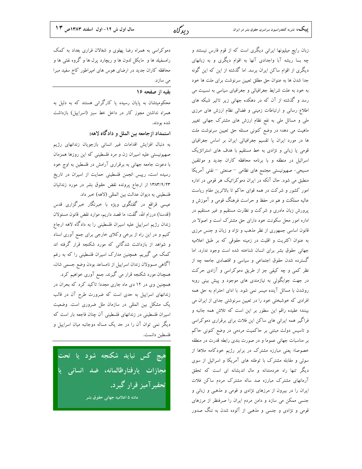**بییک،** نشریه کنفدراسیون سراسری حقوق بشر در ایران

زبان رایج میلیونها ایرانی دیگری است که از قوم فارس نیستند و چه بسا ریشه آبا واجدادی آنها به اقوام دیگری و به زبانهای دیگری از اقوام ساکن ایران برسد. اما گذشته از این که این گونه جدا شدن ها به عنوان حق مطلق تعیین سرنوشت برای ملت ها خود به خود به علت شرایط جغرافیائی و جغرافیای سیاسی به نسبیت می رسد و گذشته از آن که در دهکده جهانی زیر تاثیر شبکه های اطلاع رسانی و ارتباطات زمینی و فضائی نظام ارزش های مرزی ملی و مسائل ملی به نفع نظام ارزش های مشترک جهانی تغییر ماهیت می دهد؛ در وضع کنونی مسئله حق تعیین سرنوشت ملت ها در مورد ایران یا تقسیم جغرافیائی ایران بر اساس جغرافیای قومی یا زبانی و نژادی به خط مستقیم با هدف های استراتژیک اسرائیل در منطقه و با برنامه محافظه کاران جدید و موتلفین مسیحی- صهیونیستی مجتمع های نظامی – صنعتی – نفتی آمریکا منطبق می شود. حال آنکه در ایران دموکراتیک هر قومی در اداره امور کشور و شرکت در همه قوای حاکم تا بالاترین مقام ریاست عالیه مملکت و هم در حفظ و حراست فرهنگ قومی و آموزش و پرورش زبان مادری و شرکت و نظارت مستقیم و غیر مستقیم در اداره امور محل سکونت خود دارای حق مشترک است و اصولا در قانون اساسی جمهوری از نظر مذهب و نژاد و زبان و جنس مرزی به عنوان اکثریت و اقلیت در زمینه حقوقی که بر طبق اعلامیه جهانی حقوق بشر برای انسان شناخته شده است وجود ندارد. اما گسترده شدن حقوق اجتماعی و سیاسی و اقتصادی جامعه چه از نظر کمی و چه کیفی جز از طریق دموکراسی و آزادی حرکت در جهت جوابگوئی به نیازمندی های موجود و پیش بینی روبه روشدن با مسائل آینده میسر نمی شود. با ادای احترام به حق همه افرادی که خوشبختی خود را در تعیین سرنوشتی جدای از ایران می بینند؛ عقیده راقم این سطور بر این است که تلاش همه جانبه و فراگیر همه ایرانی های ساکن این فلات برای برقراری دموکراسی و تاسیس دولت مبتنی بر حاکمیت مردمی در وضع کنونی حاکم بر مناسبات جهانی عموما و در صورت بندی رابطه قدرت در منطقه خصوصا؛ یعنی مبارزه مشترک در برابر رژیم خودکامه ملاها از سوئی و مقابله مشترک با توطئه های آمریکا و اسرائیل از سوی دیگر تنها راه خردمندانه و مال اندیشانه ای است که تحقق آرمانهای مشترک مبارزه صد ساله مشترک مردم ساکن فلات ایران را در بیرون از مرزهای نژادی و قومی و مذهبی و زبانی و جنسی ممکن می سازد و دامن مردم ایران را صرفنظر از مرزهای قومی و نژادی و جنسی و مذهبی از آلوده شدن به ننگ صدور

دموکراسی به همراه رضا پهلوی و شغالان فراری بغداد به کمک رامسفیلد ها و مایکل لدون ها و ریچارد پرل ها و گروه نفتی ها و محافظه کاران جدید در ارضای هوس های امپراطور کاخ سفید مبرا می سازد.

#### بقيه از صفحه ١۶

محکومیتشان به پایان رسیده یا کارگرانی هستند که به دلیل به همراه نداشتن مجوز كار در داخل خط سبز (اسراييل) بازداشت شده بودند.

استمداد ازجامعه بین الملل و دادگاه لاهه:

به دنبال افزایش اقدامات غیر انسانی بازجویان زندانهای رژیم صهیونیستی علیه اسیران زن و مرد فلسطینی که این روزها همزمان با دعوت جامعه جهانی به برقراری آرامش در فلسطین به اوج خود رسیده است، رییس انجمن فلسطینی حمایت از اسیران در تاریخ ۱۳۸۳/۹/۲۳ از ارجاع پرونده نقض حقوق بشر در مورد زندانیان فلسطینی به دیوان عدالت بین المللی (لاهه) خبر داد.

عیسی قراقع در گفتگوی ویژه با خبرنگار خبرگزاری قدس (قدسنا) دررام الله، گفت: ما قصد داریم، موارد نقض قانون مسئولان زندان رژیم اسراییل علیه اسیران فلسطینی را به دادگاه لاهه ارجاع کنیم و در این راه از برخی وکلای خارجی برای جمع آوری اسناد و شواهد از بازداشت شدگانی که مورد شکنجه قرار گرفته اند کمک می گیریم. همچنین مدارک اسپران فلسطینی را که به رغم آگاهی مسوولان زندان اسراییل از نامساعد بودن وضع جسمی شان،

همچنان مورد شکنجه قرار می گیرند، جمع آوری خواهیم کرد. همچنین وی در ۱۲ دی ماه جاری مجددا تاکید کرد که بحران در زندانهای اسراییل به حدی است که ضرورت طرح آن در قالب یک مشکل بین المللی در سازمان ملل ضروری است. وضعیت اسیران فلسطینی در زندانهای فلسطینی آن چنان فاجعه بار است که دیگر نمی توان آن را در حد یک مساله دوجانبه میان اسراییل و فلسطين دانست.

<mark>هیچ کس نباید شکنجه شود یا تحت</mark> مجازات یارفتارظالمانه، ضد انسانی یا تحقير آميز قرار گيرد. ماده ۵ اعلامیه جهانی حقوق بشر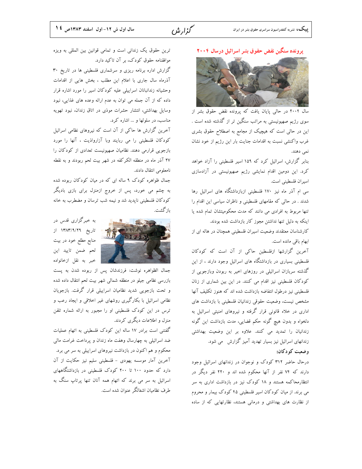سال اول ش ١٢- اول اسفند ١٣٨٣ص ٤ ١

گزار ش



گزارش اداره برنامه ریزی و سرشماری فلسطینی ها در تاریخ ۳۰ آذرماه سال جاری با اعلام این مطلب ، بخش هایی از اقدامات وحشیانه زندانبانان اسراییلی علیه کودکان اسیر را مورد اشاره قرار داده که از آن جمله می توان به عدم ارائه وعده های غذایی، نبود وسایل بهداشتی، انتشار حشرات موذی در اتاق زندان، نبود تهویه مناسب، در سلولها و … اشاره کرد.

آخرین گزارش ها حاکی از آن است که نیروهای نظامی اسرائیل کودکان فلسطینی را می ربایند وبا آزارواذیت ، آنها را مورد بازجویی قرارمی دهند. نظامیان صهیونیست تعدادی از کودکان را ۲۷ آذر ماه در منطقه الکرکفه در شهر بیت لحم ربودند و به نقطه نامعلومی انتقال دادند.

جمال ظواهره کودک ۹ ساله ای که در میان کودکان ربوده شده به چشم می خورد، پس از خروج ازمنزل برای بازی بادیگر کودکان فلسطینی ناپدید شد و نیمه شب ترسان و مضطرب به خانه بازگشت.



به خبرگزاری قدس در تاریخ ۱۳۸۳/۹/۲۹ از منابع مطلع خود در بیت لحم ضمن تاييد اين خبر به نقل ازخانواده

جمال الظواهره نوشت: فرزندشان پس از ربوده شدن به پست بازرسی نظامی جیلو در منطقه شمالی شهر بیت لحم انتقال داده شده و تحت بازجویی شدید نظامیان اسراییلی قرار گرفت. بازجویان نظامی اسرائیل با بکارگیری روشهای غیر اخلاقی و ایجاد رعب و ترس در این کودک فلسطینی او را مجبور به ارائه شماره تلفن منزل و اطلاعات دیگری کردند.

گفتنی است برادر ۱۷ ساله این کودک فلسطینی به اتهام عملیات ضد اسرائیلی به چهارسال وهفت ماه زندان و پرداخت غرامت مالی محکوم و هم اکنون در بازداشت نیروهای اسراییلی به سر می برد. آخرین آمار موسسه یهودی - فلسطینی سلیم نیز حکایت از آن دارد که حدود ۱۰۰ تا ۲۰۰ کودک فلسطینی در بازداشتگاههای اسرائیل به سر می برند که اتهام همه آنان تنها پرتاپ سنگ به طرف نظامیان اشغالگر عنوان شده است.

#### پرونده سنگین نقض حقوق بشر اسرائیل درسال ۲۰۰۴



سال ۲۰۰۴ در حالی پایان یافت که پرونده نقض حقوق بشر از سوی رژیم صهیونیستی به مراتب سنگین تر از گذشته شده است . این در حالی است که هیچیک از مجامع به اصطلاح حقوق بشری غرب واكنشى نسبت به اقدامات جنايت بار اين رژيم از خود نشان نمی دهند.

بنابر گزارش، اسرائیل کرد که ۱۵۹ اسیر فلسطینی را آزاد خواهد کرد. این دومین اقدام نمایشی رژیم صهیونیستی در آزادسازی اسيران فلسطيني است.

سی ام آذر ماه نیز ۱۷۰ فلسطینی ازبازداشتگاه های اسرائیل رها شدند . در حالی که مقامهای فلسطینی و ناظران سیاسی این اقدام را تنها مربوط به افرادی می دانند که مدت محکومیتشان تمام شده یا اینکه به دلیل تنها نداشتن مجوز کار بازداشت شده بودند.

کارشناسان معتقدند وضعیت اسیران فلسطینی همچنان در هاله ای از ابهام باقی مانده است.

آخرین گزارشها ازفلسطین حاکی از آن است که کودکان فلسطینی بسیاری در بازداشتگاه های اسرائیل وجود دارند ، از این گذشته سربازان اسرائیلی در روزهای اخیر به ربودن وبازجویی از کودکان فلسطینی نیز اقدام می کنند. در این بین شماری از زنان فلسطینی نیز درطول انتفاضه بازداشت شده اند که هنوز تکلیف آنها مشخص نيست، وضعيت حقوقي زندانيان فلسطيني با بازداشت هاي اداری در خلاء قانونی قرار گرفته و نیروهای امنیتی اسرائیل به دلخواه و بدون هیچ گونه حکم قضایی، مدت بازداشت این گونه زندانیان را تمدید می کنند. علاوه بر این وضعیت بهداشتی زندانهای اسرائیل نیز بسیار تهدید آمیز گزارش می شود.

## وضعیت کو دکان:

درحال حاضر ۳۱۲ کودک و نوجوان در زندانهای اسرائیل وجود دارند که ۷۴ نفر از آنها محکوم شده اند و ۲۲۰ نفر دیگر در انتظارمحاکمه هستند و ۱۸ کودک نیز در بازداشت اداری به سر می برند. از میان کودکان اسیر فلسطینی ۴۵ کودک بیمار و محروم از نظارت های بهداشتی و درمانی هستند، نظارتهایی که از ساده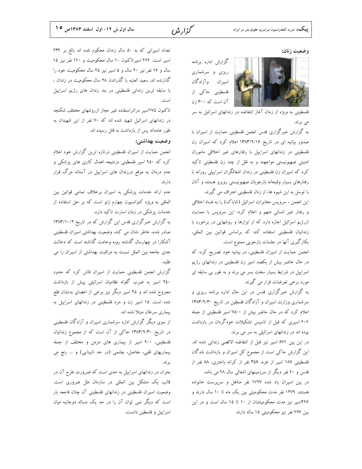سال اول ش ١٢- اول اسفند ١٣٨٣ص ١٥

گزار ش

وضعيت زنان:

گزارش اداره برنامه ریزی و سرشماری اسيران وآزادگان فلسطینی حاکی از آن است که ۳۰۰ زن

فلسطینی به ویژه از زمان آغاز انتفاضه در زندانهای اسرائیل به سر می بر ند.

به گزارش خبرگزاری قدس انجمن فلسطینی حمایت از اسیران با صدور بیانیه ای در تاریخ ۱۳۸۳/۹/۱۶ اعلام کرد که اسیران زن فلسطینی در زندانهای اسراییل با رفتارهای غیر اخلاقی ماموران امنیتی صهیونیستی مواجهند و به نقل از چند زن فلسطینی تاکید کرد که اسیران زن فلسطینی در زندان اشغالگران اسراییلی روزانه با رفتارهای بسیار وقیحانه بازجویان صهیونیستی روبرو هستند و آنان با توسل به این شیوه ها، از زنان فلسطینی اعتراف می گیرند.

این انجمن ، سرویس مخابرات اسرائیل (شاباک) را به فساد اخلاقی و رفتار غیر انسانی متهم و اعلام کرد: این سرویس با حمایت ازرژیم اسرائیل اجازه دارد که از ابزارها و روشهایی در برخورد با زندانیان فلسطینی استفاده کند که براساس قوانین بین المللی، بکارگیری آنها در جلسات بازجویی ممنوع است.

انجمن حمایت از اسیران فلسطینی، در بیانیه خود تصریح کرد: که در حال حاضر بیش از یکصد اسیر زن فلسطینی در زندانهای رژیم اسراییل در شرایط بسیار سخت بسر می برند و به طور بی سابقه ای مورد برخی تعرضات قرار می گیرند.

به گزارش خبرگزاری قدس در این حال اداره برنامه ریزی و سرشماری وزارت اسیران و آزادگان فلسطین در تاریخ ۱۳۸۳/۹/۳۰ اعلام کرد که در حال حاضر بیش از ۷۵۰۰ اسیر فلسطینی از جمله ۴۰۴ اسیری که قبل از تاسیس تشکیلات خودگردان در بازداشت بوده اند در زندانهای اسرائیلی به سر می برند.

در این بین ۶۷۱ اسیر نیز قبل از انتفاضه الاقصی زندانی شده اند. این گزارش حاکی است از مجموع کل اسیران و بازداشت شدگان فلسطینی ۱۸۷ اسیر از غزه، ۳۵۶ نفر از کرانه باختری، ۸۸ نفر از قدس و ۴۰ نفر دیگر از سرزمینهای اشغالی سال ۴۸ می باشد.

در بین اسیران یاد شده ۱۷۲۷ نفر متاهل و سرپرست خانواده هستند. ۱۲۷۹ نفر مدت محکومیتی بین یک ماه تا ۱۰ سال دارند و ۲۴۶اسیر نیز مدت محکومیتشان از ۱۰ تا ۱۵ سال است و در این بین ۴۷۷ نفر نیز محکومیتی ۱۵ ساله دارند.

تعداد اسیرانی که به ۵۰ سال زندان محکوم شده اند بالغ بر ۴۳۴ اسیر است. ۴۴۴ اسیرتاکنون ۱۰ سال محکومیت و ۱۴۰ نفر نیز ۱۵ سال و ۱۶ نفر نیز ۲۰ سال و ۵ اسیر نیز ۲۵ سال محکومیت خود را گذارنده اند. سعید العتبه با گذراندن ۲۸ سال محکومیت در زندان ، با سابقه ترین زندانی فلسطینی در بند زندان های رژیم اسراییل است.

تاکنون ۱۷۵اسیر دراثراستفاده غیر مجاز ازروشهای مختلف شکنجه در زندانهای اسرائیل شهید شده اند که ۷۰ نفر از این شهیدان به طور عامدانه پس از بازداشت به قتل رسیده اند.

وضعيت بهداشتي:

انجمن حمایت از اسیران فلسطینی درتازه ترین گزارش خود اعلام کرد که ۹۵۰ اسیر فلسطینی درنتیجه اهمال کاری های پزشکی و عدم درمان به موقع درزندان های اسراییل در آستانه مرگ قرار دارند.

عدم ارائه خدمات پزشکی به اسیران برخلاف تمامی قوانین بین المللي به ويژه كنوانسيون چهارم ژنو است كه بر حق استفاده از خدمات پزشکی در زمان اسارت تاکید دارد.

به گزارش خبرگزاری قدس این گزارش که در تاریخ ۱۳۸۳/۱۰/۲ صادر شده، خاطر نشان می کند، وضعیت بهداشتی اسیران فلسطینی آشکارا در چهارسال گذشته روبه وخامت گذاشته است که دخالت جدی جامعه بین الملل نسبت به مراقبت بهداشتی از اسیران را می طلبد.

گزارش انجمن فلسطینی حمایت از اسیران فاش کرد که حدود ۲۵۰ اسیر به ضرب گلوله نظامیان اسرائیلی پیش از بازداشت مجروح شده اند و ۲۵ اسیر دیگر نیز برخی از اعضای بدنشان فلج شده است. ۱۵ اسیر زن و مرد فلسطینی در زندانهای اسراییل به بیماری سرطان مبتلا شده اند.

از سوی دیگر گزارش اداره سرشماری اسیران و آزادگان فلسطینی در تاریخ ۱۳۸۳/۹/۳۰ حاکی از آن است که از مجموع زندانیان فلسطینی، ۹۰۰ اسیر از بیماری های مزمن و مختلف از جمله بیماریهای قلبی، مفاصل، چشمی (در حد نابینایی) و ... رنج می برند.

بحران در زندانهای اسراییل به حدی است که ضرورت طرح آن در قالب یک مشکل بین المللی در سازمان ملل ضروری است. وضعیت اسیران فلسطینی در زندانهای فلسطینی آن چنان فاجعه بار است که دیگر نمی توان آن را در حد یک مساله دوجانبه میان اسراييل وفلسطين دانست.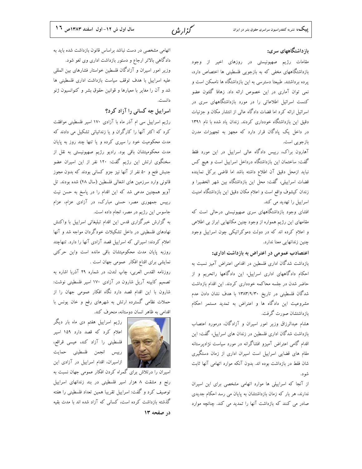گزارش

## بازداشتگاههای سری:

مقامات رژیم صهیونیستی در روزهای اخیر از وجود بازداشتگاههای مخفی که به بازجویی فلسطینی ها اختصاص دارد، یرده برداشتند. طبیعتا دسترسی به این بازداشتگاه ها ناممکن است و نمی توان آماری در این خصوص ارائه داد. زهافا گلئون عضو کنست اسرائیل اطلاعاتی را در مورد بازداشتگاههای سری در اسرائیل ارائه کرد اما قضات دادگاه عالی از انتشار مکان و جزنیات دقیق این بازداشتگاه خودداری کردند. زندان یاد شده با نام ۱۳۹۱ در داخل یک یادگان قرار دارد که مجهز به تجهیزات مدرن بازجويي است.

آهارون براک، رییس دادگاه عالی اسراییل در این مورد فقط گفت: ساختمان این بازداشتگاه درداخل اسراییل است و هیچ کس نبايد ازمحل دقيق آن اطلاع داشته باشد اما قاضى بركل نماينده قضات اسراییلی، گفت: محل این بازداشتگاه بین شهر الخضیرا و زندان كيشوف واقع است و اعلام مكان دقيق اين بازداشتگاه امنيت اسراییل را تهدید می کند.

افشای وجود بازداشتگاههای سری صهیونیستی درحالی است که مقامهای این رژیم همواره از وجود چنین مکانهایی ابراز بی اطلاعی و اعلام کرده اند که در دولت دموکراتیکی چون اسراییل وجود چنین زندانهایی معنا ندارد.

#### اعتصادب عمومی در اعتراض به بازداشت اداری:

بازداشت شدگان اداری فلسطین در اقدامی اعتراض آمیز نسبت به احکام دادگاههای اداری اسراییل، این دادگاهها راتحریم و از حاضر شدن در جلسه محاکمه خودداری کردند. این اقدام بازداشت شدگان فلسطینی در تاریخ ۱۳۸۳/۹/۳۰ با هدف نشان دادن عدم مشروعیت این دادگاه ها و اعتراض به تمدید مستمر احکام بازداشتشان صورت گرفت.

هشام عبدالرزاق وزیر امور اسیران و آزادگان، درمورد اعتصاب بازداشت شدگان اداری فلسطین در زندان های اسراییل، گفت: این اقدام گامی اعتراض آمیزو افشاگرانه در مورد سیاست نژادیرستانه مقام های قضایی اسراییل است اسیران اداری از زمان دستگیری شان فقط در بازداشت بوده اند. بدون آنکه موارد اتهامی آنها ثابت شو د.

از آنجا که اسراییلی ها موارد اتهامی مشخصی برای این اسیران ندارند، هر بار که زمان بازداشتشان به پایان می رسد احکام جدیدی صادر می کنند که بازداشت آنها را تمدید می کند. چنانچه موارد

اتهامی مشخصی در دست نباشد براساس قانون بازداشت شده باید به دادگاهی بالاتر ارجاع و دستور بازداشت اداری وی لغو شود. وزیر امور اسیران و آزادگان فلسطین خواستار فشارهای بین المللی علیه اسراییل با هدف توقف سیاست بازداشت اداری فلسطینی ها شد و آن را مغایر با معیارها و قوانین حقوق بشر و کنوانسیون ژنو دانست.

## اسراییل چه کسانی را آزاد کرد؟

رژیم اسراییل سی ام آذر ماه با آزادی ۱۷۰ اسیر فلسطینی موافقت کرد که اکثر آنها را کارگران و یا زندانیانی تشکیل می دادند که مدت محکومیت خود را سپری کرده و یا تنها چند روز به پایان مدت محکومیتشان باقی بود. رادیو رژیم صهیونیستی به نقل از سخنگوی ارتش این رژیم گفت: ۱۲۰ نفر از این اسیران عضو جنبش فتح و ۵۰ نفر از آنها نیز جزو کسانی بودند که بدون مجوز قانونی وارد سرزمین های اشغالی فلسطین (سال ۴۸) شده بودند. تل آویو همچنین مدعی شد که این اقدام را در پاسخ به حسن نیت رییس جمهوری مصر، حسنی مبارک، در آزادی عزام، عزام جاسوس این رژیم در مصر، انجام داده است.

به گزارش خبرگزاری قدس این اقدام تبلیغاتی اسراییل با واکنش نهادهای فلسطینی در داخل تشکیلات خودگردان مواجه شد و آنها اعلام کردند: اسیرانی که اسراییل قصد آزادی آنها را دارد. تنهاچند روزبه پایان مدت محکومیتشان باقی مانده است واین حرکتی نمایشی برای اقناع افکار عمومی جهان است .

روزنامه القدس العربي، چاپ لندن، در شماره ٢٩ آذربا اشاره به تصمیم کابینه آریل شارون در آزادی ۱۷۰ اسیر فلسطینی نوشت: شارون با این اقدام قصد دارد نگاه افکار عمومی جهان را از حملات نظامی گسترده ارتش به شهرهای رفح و خان یونس با اقدامی به ظاهر انسان دوستانه، منحرف کند.



رژیم اسراییل هفتم دی ماه بار دیگر اعلام کرد که قصد دارد ۱۵۹ اسیر فلسطيني را آزاد كند، عيسى قراقع، رييس انجمن فلسطيني حمايت ازاسیران، اقدام اسراییل در آزادی این

اسیران را درتلاش برای گمراه کردن افکار عمومی جهان نسبت به رنج و مشقت ٨ هزار اسير فلسطيني در بند زندانهاي اسراييل توصیف کرد و گفت: اسراییل تقریبا همین تعداد فلسطینی را هفته گذشته بازداشت کرده است، کسانی که آزاد شده اند با مدت بقیه در صفحه ١٣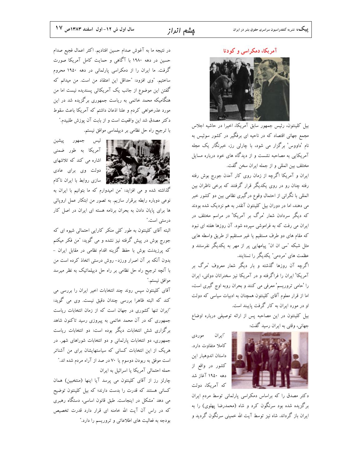آمریکا، دمکراسی و کودتا



بیل کلینتون، رئیس جمهور سابق آمریکا، اخیرا در حاشیه اجلاس مجمع جهانی اقتصاد که در ناحیه ای برفگیر در کشور سوئیس به نام 'داووس' برگزار می شود، با چارلی رز، خبرنگار یک مجله آمریکایی به مصاحبه نشست و از دیدگاه های خود درباره مسایل مختلف بين المللي و از جمله ايران سخن گفت.

ایران و آمریکا اگرچه از زمان روی کار آمدن جورج بوش رفته رفته چنان رو در روی یکدیگر قرار گرفتند که برخی ناظران بین المللی با نگرانی از احتمال وقوع درگیری نظامی بین دو کشور خبر می دهند، اما در دوران بیل کلینتون آنقدر به هم نزدیک شده بودند که دیگر سردادن شعار 'مرگ بر آمریکا' در مراسم مختلف در ایران می رفت که به فراموشی سپرده شود. آن روزها هفته ای نبود که مقام های دو طرف مستقیم یا غیر مستقیم از طریق واسطه هایی مثل شبکه "سی ان ان" پیامهایی پر از مهر به یکدیگر نفرستند و عظمت های "مردمی" یکدیگر را نستایند.

اگرچه آن روزها گذشته و بار دیگر شعار معروف 'مرگ بر آمریکا' ایران را فراگرفته و در آمریکا نیز سخنرانان دولتی، ایران را 'حامی تروریسم' معرفی می کنند و بحران روبه اوج گیری است، اما از قرار معلوم آقای کلینتون همچنان به ادبیات سیاسی که دولت او در مورد ایران به کار گرفت پایبند است.

بیل کلینتون در این مصاحبه پس از ارائه توصیفی درباره اوضاع جهاني، وقتي به ايران رسيد گفت:



"ايران موردى كاملا متفاوت دارد. داستان اندوهبار اين كشور در واقع از دهه ۱۹۵۰ آغاز شد که آمریکا، دولت

دکتر مصدق را که براساس دمکراسی پارلمانی توسط مردم ایران برگزیده شده بود سرنگون کرد و شاه (محمدرضا پهلوی) را به ایران باز گرداند. شاه نیز توسط آیت الله خمینی سرنگون گردید و

در نتيجه ما به آغوش صدام حسين افتاديم. اكثر اعمال فجيع صدام حسین در دهه ۱۹۸۰ با آگاهی و حمایت کامل آمریکا صورت گرفت. ما ایران را از دمکراسی پارلمانی در دهه ۱۹۵۰ محروم ساختیم. "وی افزود: "حداقل این اعتقاد من است. من میدانم که گفتن این موضوع از جانب یک آمریکائی پسندیده نیست اما من هنگامیکه محمد خاتمی به ریاست جمهوری برگزیده شد در این مورد عذرخواهی کردم و علنا اذعان داشتم که آمریکا باعث سقوط دكتر مصدق شد اين واقعيت است و از بابت آن پوزش طلبيدم." با ترجیح راه حل نظامی بر دیپلماسی موافق نیستم.



ئيس جمهور پيشين آمریکا به طور ضمنی ے ۔<br>پاکستان می کند که تلاشهای نه دولت وی برای عادی اللہ کیا ہے۔<br>اللہ سے اس سازی روابط با ایران ناکام

گذاشته شده و می افزاید: "من امیدوارم که ما بتوانیم با ایران به نوعی دوباره رابطه برقرار سازیم. به تصور من ابتکار عمل اروپائی ها برای پایان دادن به بحران برنامه هسته ای ایران در اصل کار درستی است."

البته آقای کلینتون به طور کلی منکر کارایی احتمالی شیوه ای که جورج بوش در پیش گرفته نیز نشده و می گوید: "من فکر میکنم که پرزیدنت بوش با حفظ گزینه اقدام نظامی در مقابل ایران – بدون آنکه بر آن اصرار ورزد- روش درستی اتخاذ کرده است من با آنچه ترجیح راه حل نظامی بر راه حل دیپلماتیک به نظر میرسد موافق نيستم."

آقای کلینتون سپس روند چند انتخابات اخیر ایران را بررسی می کند که البته ظاهرا بررسی چندان دقیق نیست. وی می گوید: "ایران تنها کشوری در جهان است که از زمان انتخابات ریاست جمهوری که در آن محمد خاتمی به پیروزی رسید تاکنون شاهد برگزاری شش انتخابات دیگر بوده است: دو انتخابات ریاست جمهوری، دو انتخابات پارلمانی و دو انتخابات شوراهای شهر. در هریک از این انتخابات کسانی که سیاستهایشان برای من آشناتر است موفق به ربودن دوسوم یا ۷۰ در صد از آراء مردم شده اند.″ حمله احتمالی آمریکا یا اسرائیل به ایران

چارلز رز از آقای کلینتون می پرسد آیا اینها (منتخبین) همان کسانی هستند که قدرت را بدست دارند؛ که بیل کلینتون توضیح می دهد "مشکل در اینجاست. طبق قانون اساسی، دستگاه رهبری که در راس آن آیت الله خامنه ای قرار دارد قدرت تخصیص بودجه به فعالیت های اطلاعاتی و تروریسم را دارد."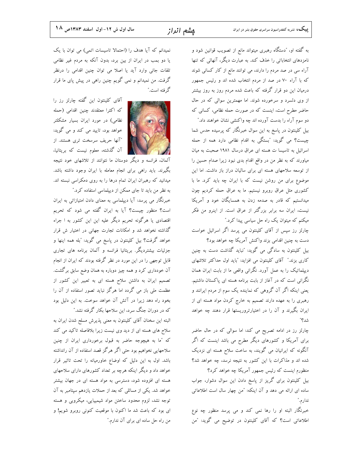به گفته او، ″دستگاه رهبری میتواند مانع از تصویب قوانین شود و نامزدهای انتخاباتی را خذف کند. به عبارت دیگر، آنهائی که تنها آراء سی در صد مردم را دارند، می توانند مانع از کار کسانی شوند که با آراء ۷۰ در صد از مردم انتخاب شده اند و رئیس جمهور درمیان این دو قرار گرفته که باعث شده مردم روز به روز بیشتر از وی دلسرد و سرخورده شوند. اما مهمترین سوالی که در حال حاضر مطرح است، اینست که در صورت حمله نظامی، کسانی که دو سوم آراء را بدست آورده اند چه واکنشی نشان خواهند داد." بیل کلینتون در پاسخ به این سوال خبرنگار که پرسیده حدس شما چیست؟ می گوید: "بستگی به اقدام نظامی دارد همه از حمله اسرائیل به تاسیسا ت هسته ای عراق درسال ۱۹۸۱ صحبت به میان میاورند که به نظر من در واقع اقدام بدی نبود زیرا صدام حسین را از توسعه سلاحهای هسته ای برای سالیان دراز باز داشت. اما این موضوع برای من روشن نیست که با ایران چه باید کرد. ما با کشوری مثل عراق روبرو نیستیم. ما به عراق حمله کردیم چون میدانستیم که قادر به صدمه زدن به همسایگان خود و آمریکا نیست، ایران سه برابر بزرگتر از عراق است. از اینرو من فکر میکنم که میتوان یک راه حل سیاسی پیدا کرد."

چارلز رز سپس از آقای کلینتون می پرسد اگر اسرائیل خواست دست به چنین اقدامی بزند واکنش آمریکا چه خواهد بود؟

بیل کلینتون به سادگی می گوید: "نباید گذاشت دست به چنین کاری بزند." آقای کلینتون می افزاید: "باید اول حداکثر تلاشهای دیپلماتیک را به عمل آورد. نگرانی واقعی ما از بابت ایران همان نگرانی است که در آغاز از بابت برنامه هسته ای پاکستان داشتیم. یعنی اینکه اگر آن گروهی که نماینده یک سوم از مردم ایرانند و رهبری را به عهده دارند تصمیم به خارج کردن مواد هسته ای از ایران بگیرند و آن را در اختیارتروریستها قرار دهند چه خواهد شد؟"

چارلز رز در ادامه تصریح می کند: اما سوالی که در حال حاضر برای آمریکا و کشورهای دیگر مطرح می باشد اینست که اگر آنگونه که ایرانیان می گویند، به ساخت سلاح هسته ای نزدیک شده اند و مذاکرات با این کشور به نتیجه نرسد، چه خواهد شد؟ منظورم اینست که رئیس جمهور آمریکا چه خواهد کرد؟

بیل کلینتون برای گریز از پاسخ دادن این سوال دشوار، جواب ساده ای ارائه می دهد و آن اینکه: "من چهار سال است اطلاعاتی ندارم."

خبرنگار البته او را رها نمی کند و می پرسد منظور چه نوع اطلاعاتی است؟ که آقای کلینتون در توضیح می گوید: "من

نمیدانم که آیا هدف را (احتمالا تاسیسات اتمی) می توان با یک یا دو بمب در ایران از بین برد، بدون آنکه به مردم غیر نظامی تلفات جانی وارد آید یا اصلا می توان چنین اقدامی را درنظر گرفت. من نمیدانم و نمی گویم چنین راهی در پیش پای ما قرار گر فته است.″



آقای کلینتون این گفته چارلز رز را كه اكثرا معتقدند چنين اقدامي (حمله نظامی) در مورد ایران بسیار مشکلتر خواهد بود، تایید می کند و می گوید: "آنها حريف سرسخت ترى هستند. از آن گذشته، معلوم نیست که بریتانیا،

آلمان، فرانسه و دیگر دوستان ما نتوانند از تلاشهای خود نتیجه بگیرند. باید راهی برای انجام معامله با ایران وجود داشته باشد. میدانید که رهبران ایران تمام درها را به روی دمکراسی نبسته اند.

به نظر من باید تا جای ممکن از دیپلماسی استفاده کرد." خبرنگار می پرسد: آیا دیپلماسی به معنای دادن امتیازاتی به ایران است؟ منظور چیست؟ آیا به ایران گفته می شود که تحریم اقتصادی یا هرگونه تحریم دیگر علیه این این کشور به ا جراء گذاشته نخواهد شد و امکانات تجارت جهانی در اختیار ش قرار خواهد گرفت؟ بیل کلینتون در پاسخ می گوید: "بله همه اینها و جزئیات بیشتردیگر. بریتانیا فرانسه و آلمان برنامه های تجاری قابل توجهی را در این مورد در نظر گرفته بودند که ایران از انجام آن خودداری کرد و همه چیز دوباره به همان وضع سابق برگشت. تصمیم ایران به داشتن سلاح هسته ای به تعبیر این کشور از عظمت ملی باز می گردد اما هرگز نباید تصور استفاده از آن را بخود راه دهد زیرا در آتش آن خواهد سوخت. به این دلیل بود که در دوران جنگ سرد، این سلاحها بکار گرفته نشد."

البته این سخنان آقای کلینتون به معنی پذیرش مسلح شدن ایران به سلاح های هسته ای از دید وی نیست زیرا بلافاصله تاکید می کند که "ما به هیچوجه حاضر به قبول برخورداری ایران از چنین سلاحهایی نخواهیم بود حتی اگر هرگز قصد استفاده از آن رانداشته باشد. اول به این دلیل که اوضاع خاورمیانه را تحت تاثیر قرار خواهد داد و دیگر اینکه هرچه بر تعداد کشورهای دارای سلاحهای هسته ای افزوده شود، دسترسی به مواد هسته ای در جهان بیشتر خواهد شد. یکی از مسائلی که بعد از حملات یازدهم سپتامبر به آن توجه نشد، لزوم محدود ساختن مواد شیمییایی، میکروبی و هسته ای بود که باعث شد ما اکنون با موقعیت کنونی روبرو شویم! و من راه حل ساده ای برای آن ندارم."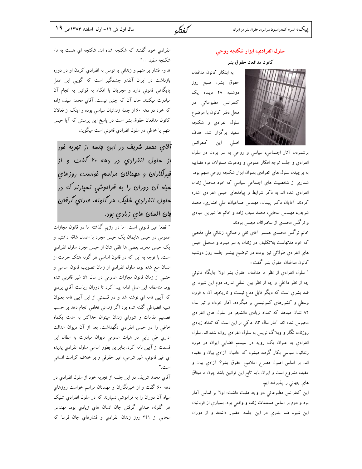كفتكه

## سلول انفرادي، ابزار شكنجه روحى

#### كانون مدافعان حقوق بشر

به ابتکار کانون مدافعان حقوق بشر، صبح روز دوشنبه ۲۸ دیماه یک کنفرانس مطبوعاتی در محل دفتر كانون با موضوع سلول انفرادي و شکنجه سفید برگزار شد. هدف اصلی این کنفرانس



برشمردن آثار اجتماعي، سياسي و روحي به سر بردن در سلول انفرادی و جلب توجه افکار عمومی و ودعوت مسئولان قوه قضاییه به برچيدن سلول هاي انفرادي بعنوان ابزار شكنجه روحي متهم بود. شماری از شخصیت های اجتماعی سیاسی که خود متحمل زندان انفرادي شده اند به ذكر شرايط و پيامدهاي حبس انفرادي اشاره كردند. آقايان دكتر پيمان، مهندس صباغيان، على افشارى، محمد شریف، مهندس سحابی، محمد سیف زاده و خانم ها شیرین عبادی و نرگس محمدی از سخنرانان مجلس بودند.

خانم نرگس محمدي همسر آقاي تقي رحماني، زنداني ملي مذهبي که خود مدتهاست بلاتکلیف در زندان به سر میبرد و متحمل حبس هاي انفرادي طولانی نيز بوده، در توضيح بيشتر جلسه روز دوشنبه كانون مدافعان حقوق بشر گفت :

" سلول انفرادي از نظر ما مدافعان حقوق بشر اولا جايگاه قانوني چه از نظر داخلی و چه از نظر بین المللی ندارد. دوم این شیوه اي ضد بشري است که ديگر قابل دفاع نيست و تاريخچه آن به قرون وسطی و کشورهایِ کمونیستی بر میگردد. آمار خرداد و تیر سال ۸۲ نشان میدهد که تعداد زیادی دانشجو در سلول های انفرادی محبوس شده اند. آمار سال ۸۳ حاکی از این است که تعداد زیادی روزنامه نگار و وبلاگ نویس به سلول انفرادی روانه شده اند. سلول انفرادي به عنوان يک رويه در سيستم قضايي ايران در مورد زندانیان سیاسی بکار گرفته میشود که حامیان آزادی بیان و عقیده اند. بر اساس اصول مصرح اعلامیح حقوق بشر؟ آزادی بیان و عقيده مشروع است و ايران بايد تابع اين قوانين باشد چون ما ميثاق هاي جهاني را پذيرفته ايم.

این کنفرانس مطبوعاتی دو وجه مثبت داشت: اولا بر اساس آمار بود و دوم بر اساس مستندات زنده و واقعي بود. بسياري از قربانيان اين شيوه ضد بشري در اين جلسه حضور داشتند و از دوران

انفرادی خود گفتند که شکنجه شده اند. شکنجه ای هست به نام شكنحه سفىد..."

تداوم فشار بر متهم و زندانی با توسل به انفرادی کردن او در دوره بازداشت در ایران آنقدر چشمگیر است که گویی این عمل پایگاهی قانونی دارد و مجریان با اتکاء به قوانین به انجام آن مبادرت میکنند. حال آن که چنین نیست. آقای محمد سیف زاده که خود در دهه ۶۰ از جمله زندانیان سیاسی بوده و اینک از فعالان کانون مدافعان حقوق بشر است در پاسخ این پرسش که آیا حبس متهم یا خاطی در سلول انفرادیِ قانونی است میگوید:

آقای مممر شریف در این ملسه از تمربه فور از سلول انفراري <sub>در د</sub>هه ۶۰ گفت و از فبرنگاران و مهمانان مراسع فواست روزهای سیاه آن روران را به فراموشی نسیارنر که در سلول انفراري شلیک هر گلوله، صرای گرفتن . فإن السان هاي زياري بور.

" قطعا غیر قانونی است. اما در رژیم گذشته ما در قانون مجازات عمومی در حبس هایمان یک حبس مجرد با اعمال شاقه داشتیم و يک حبس مجرد. بعضي ها تلقي شان از حبس مجرد سلول انفرادي است. با توجه به این که در قانون اساسی هر گونه هتک حرمت از انسان منع شده بود، سلول انفرادي از زمان تصويب قانون اساسي و حتــی از زمان قانون مجازات عمومی در سال ۵۲ غیر قانونی شده بود. متاسفانه این عمل ادامه پیدا کرد تا دوران ریاست آقای یزدی كه آيين نامه اي نوشته شد و در قسمتي از اين آيين نامه بعنوان تنبیه انضباطی گفته شده بود اگر زندانی تخلفی انجام دهد بر حسب تصمیم مقامات و شورای زندان میتوان حداکثر به مدت یکماه خاطی را در حبس انفرادیِ نگهداشت. بعد از آن دیوان عدالت اداري طي رايي در هيات عمومي ديوان مبادرت به ابطال اين قسمت از آیین نامه کرد. بنابراین بطور اساسی سلول انفرادی پدیده اي غير قانوني، غير شرعي، غير حقوقي و بر خلاف كرامت انساني است."

آقاي محمد شريف در اين جلسه از تجربه خود از سلول انفرادي در دهه ۶۰ گفت و از خبرنگاران و مهمانان مراسم خواست روزهاي سیاه آن دوران را به فراموشی نسپارند که در سلول انفرادیِ شلیک هر گلوله، صدای گرفتن جان انسان های زیادی بود. مهندس سحابی از ۴۴۱ روز زندان انفرادی و فشارهای جان فرسا که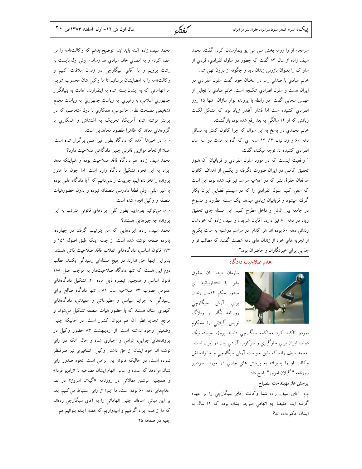# سرانجام او را روانه بخش سي سي يو بيمارستان كرد، گفت. محمد سیف زاده از سال ۶۳ گفت که چطور در سلول انفرادی، فردی از ساواک را بعنوان بازرس زندان دید و چگونه از درون تهی شد. خانم عبادي با صداي رسا در سخنان خود گفت سلول انفرادي در ايران هست و سلول انفرادي شكنجه است. خانم عبادي با تجليل از مهنس سحابی گفت در رابطه با پرونده نوار سازان تنها ۲۵ روز انفرادی کشیده است اما فشار آنقدر زیاد بود که مشکل لکنت زبانش که از ۱۴ سالگی به بعد رفع شده بود، بازگشت.

خانم محمدی در پاسخ به این سوال که چرا کانون کمتر به مسائل دهه ۶۰ و زندانیان ۱۳، ۱۴ ساله ای که گاه به مدت دو سه سال انفرادي كشيده اند توجه ميكند، گفت:

" واقعیت اینست که در مورد سلول انفرادی و قربانیان آن هنوز تحقیق کاملی در ایران صورت نگرفته و یکسی از اهداف کانون مدافعان حقوق بشر كه در اعلاميه مراسم نيز قيد شده بود، اين است که سعی کنیم سلول انفرادی را که در سیستم قضایی ایران بکار گرفته میشود و قربانیان زیادي میدهد یک مسئله مطرود و منسوخ در جامعه بين الملل و داخل مطرح كنيم. اين مسئله جاي تحقيق زیاد در دهه ۶۰ نیز دارد. آقایان شریف و سیف زاده که خودشان زندانی دهه ۶۰ بوده اند هر کدام در مراسم دوشنبه به مدت یکربع از تجربه هاي خود از زندان هاي دهه شصت گفتند که مطالب نو و جذابی برای خبرنگاران و حاضران بود."

#### عدم صلاحیت دادگاه

سازمان ديده بان حقوق بشر با انتشاربیانیه ای صدور حکم ۱۴سال زندان برای آرش سیگارچی روزنامه نگار و وبلاگ نویس گیلانی را محکوم

نمودو تاکید کرد محاکمه سیگارچی دنباله پروژه سیستماتیک دولت ایران برای جلوگیری و سرکوب آزادی بیان در ایران است. محمد سیف زاده که طبق خواست آرش سیگارچی و خانواده اش وکالت او را پذيرفته به پرسش هاي جاري در مورد <mark>سردبير</mark> روزنامه "گیلان امروز" پاسخ داد.

#### پرسش ها: مهيندخت مصباح

م.م: آقای سیف زاده شما وکالت آقای سیگارچی را بر عهده گرفته اید. حقیقتا چه اتهامی متوجه ایشان بوده که ۱۴ سال به ایشان حکم داده اند؟

محمد سيف زاده: البته بايد ابتدا توضيح بدهم كه وكالتنامه را من امضا كردم و به امضاي خانم عبادي هم رساندم. ولي اول بايست به رشت برویم و با آقای سیگارچی در زندان ملاقات کنیم و وكالت نامه را به امضايشان برسانيم تا ما وكيل شان محسوب شويم. اما اتهاماتی که به ایشان بسته شده به اینقرارند: اهانت به بنیانگزار جمهوری اسلامی، به رهبری، به ریاست جمهوری، به ریاست مجمع تشخیص مصلحت نظام، جاسوسی، همکاریِ با دول متخاصم، که در پرانتز نوشته شده آمریکا، تحریک به اغتشاش و همکاری با گروههای معاند که ظاهرا مقصود مجاهدین است.

م م: در خبرها آمده که دادگاه بطور غیر علنی برگزار شده است. اصلا از لحاظ موازین قانونی چنین دادگاهی صلاحیت دارد؟

محمد سیف زاده: هم دادگاه فاقد صلاحیت بوده و هم|ینکه دهها ایراد به این نحوه تشکیل دادگاه وارد است. اما چون ما هنوز پرونده را نخوانده ایم، جزییات رانمیدانیم که آیا دادگاه علنی بوده یا غیر علنی. ولی قطعا دادرسی منصفانه نبوده و بدون حضورهیات منصفه و وكيل انجام شده است.

م م: ميتوانيد بفرماييد بطور كلي ايرادهاي قانوني مترتب به اين پرونده چه چیزهایی هستند؟

محمد سیف زاده: ایرادهایی که من بترتیب گرفتم در چهارده، پانزده صفحه نوشته شده است. از جمله اینکه طبق اصول ۱۵۹ و ١٧٢ قانون اساسي، دادگاههاي انقلاب فاقد صلاحيت ذاتي هستند. بنابراین اینها حق ندارند در هیچ مسئلهای رسیدگی بکنند. مطلب دوم این هست که تنها دادگاه صلاحیتدار به موجب اصل ۱۶۸ قانون اساسی و همچنین تبصره ذیل ماده ۲۰، تشکیل دادگاههاي عمومی مصوب ۷۳ اصلاحیه سال ۸۱ ، تنها دادگاه صالح برای رسیدگی به جرایم سیاسی و مطبوعاتی و عقیدتی، دادگاههای کیفری استان هستند که با حضور هیات منصفه تشکیل میشوند و مرجع تجدید نظر آن هم دیوان کشور است. در حالیکه چنین وضعیتی وجود نداشته است. از اردیبهشت ۸۳ حضور وکیل در پروندههاي جزايي، الزامي و اجباري شده و حال آنکه در راي نوشته اند خود ايشان از حق داشتن وكيل تسخيري نيز صرفنظر نموده است، در حاليكه قانونا اين الزامي است. نحوه صدور راي نشان میدهد که عمده و اساس اتهام ایشان مصاحبه با «رادیو فردا» و همچنین نوشتن مقالاتی در روزنامه «گیلان امروز» در نقد اعدامهاي دهه ۶۰ بوده است. ما اينرا از راي استنباط مي كنيم. بعد بر این مبانی آمدهاند چنین اتهاماتی را به آقایِ سیگارچی زدهاند که ما از همه ایراد گرفتیم و امیدواریم که هفته آینده بتوانیم هم بقیه در صفحه ۲۵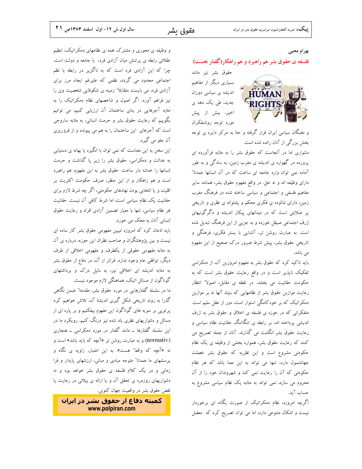بهرام محيى

#### فلسفه ی حقوق بشر هم راهبرد و هم راهکار(گفتار نخست)



و نخبگان سیاسی ایران قرار گرفته و حتا به مرکز دایره ی توجه بخش بزرگی از آنان رانده شده است.

دشواری اما در آنجاست که حقوق بشر را به مثابه فرآورده ای پرورده در گهواره ی اندیشه ی مغرب زمین، به سادگی و به طور آماده نمی توان وارد جامعه ای ساخت که در آن انسانها عمدتا" دارای وظیفه اند و نه حق. در واقع مفهوم حقوق بشر، همانند سایر مفاهیم فلسفی و اجتماعی و سیاسی ساخته شده در فرهنگ مغرب زمین، دارای شالوده ی فکری محکم و پشتوانه ی نظری و تاریخی پر صلابتی است که در میدانهای پیکار اندیشه و دگرگونیهای ژرف اجتماعی صیقل خورده و به جزیی از این فرهنگ تبدیل شده است. به عبارت روشن تر، آشنایی با بستر فکری، فرهنگی و تاریخی حقوق بشر، پیش شرط ضرور درک صحیح از این مفهوم می باشد.

باید تاکید کرد که حقوق بشر به مفهوم امروزین آن، از دمکراسی تفکیک ناپذیر است و در واقع رعایت حقوق بشر است که به حکومت حقانیت می بخشد. در نقطه ی مقابل، اصولا" انتظار رعایت موازین حقوق بشر از نظامهایی که بنیاد آنها نه بر موازین دمکراتیک که بر خودکامگی استوار است، دور از عقل سلیم است. متفکرانی که در حوزه ی فلسفه ی اخلاق و حقوق بشر به ژرف اندیشی پرداخته اند، بر رابطه ی تنگاتنگ حقانیت نظام سیاسی و رعایت حقوق بشر انگشت می گذارند. آنان از جمله تصریح می کنند که رعایت حقوق بشر، همواره بخشی از وظیفه ی یک نظام حکومتی مشروع است و این نظریه که حقوق بشر خصلت جهانشمول دارد، تنها می تواند به این معنا باشد که هر نظام حکومتی که آن را رعایت نمی کند و شهروندان خود را از آن محروم می سازد، نمی تواند به مثابه یک نظام سیاسی مشروع به حساب آيد.

اگرچه امروزه، نظام دمکراتیک از صورت یگانه ای برخوردار نیست و اشکال متنوعی دارد، اما می توان تصریح کرد که معضل

و وظیفه ی محوری و مشترک همه ی نظامهای دمکراتیک، تنظیم عقلانی رابطه ی پرتنش میان آزادی فرد، با جامعه و دولت است. چرا که این آزادی فرد است که به ناگزیر در رابطه با نظم اجتماعی محدود می گردد، نظمی که علیرغم ایجاد مرز برای آزادی فرد، می بایست متقابلا" زمینه ی شکوفایی شخصیت وی را نیز فراهم آورد. اگر اصول و شاخصهای نظام دمکراتیک را به مثابه آجرهایی در بنای ساختمان آن ارزیابی کنیم، می توانیم بگوییم که رعایت حقوق بشر و حرمت انسانی، به مثابه ساروجی است که آجرهای این ساختمان را به هم می پیوندد و از فروریزی آن جلو مي گيرد.

این سخن به این معناست که نمی توان با انگیزه یا بهانه ی دستیابی به عدالت و دمکراسی، حقوق بشر را زیر یا گذاشت و حرمت انسانها را خدشه دار ساخت. حقوق بشر به این مفهوم، هم راهبرد است و هم راهکار و از این منظر، صرف حکومت اکثریت بر اقلیت و یا انتخابی بودن نهادهای حکومتی، اگر چه شرط لازم برای حقانیت یک نظام سیاسی است، اما شرط کافی آن نیست. حقانیت هر نظام سیاسی، تنها با معیار تضمین آزادی افراد و رعایت حقوق انسانی آنان به محک می خورد.

باید اذعان کرد که امروزه تبیین مفهومی حقوق بشر کار ساده ای نیست و بین پژوهشگران و صاحب نظران این حوزه، درباره ی آن به مثابه مفهومی حقوقی از یکطرف و مفهومی اخلاقی از طرف دیگر، توافقی عام وجود ندارد. فراتر از آن، در دفاع از حقوق بشر به مثابه اندیشه ای اخلاقی نیز، به دلیل درک و برداشتهای گوناگون از مسائل اتیک، هماهنگی لازم موجود نیست.

ما در سلسله گفتارهایی در مورد حقوق بشر، مقدمتا" ضمن نگاهی گذرا به روند تاریخی شکل گیری اندیشهٔ آن، تلاش خواهیم کرد پرتویی بر سویه های گوناگون این مفهوم بیفکنیم و بر پاره ای از مسائل و دشواریهای نظری یاد شده نیز درنگ کنیم. رویکرد ما در این سلسله گفتارها ــ مانند گفتار در مورد دمکراسی ــ هنجاری (normativ) و به عبارت روشن تر «آنچه که باید باشد» است و نه «آنچه که واقعا" هست». به این اعتبار، زاویه ی نگاه و پرسشهای ما عمدتا" متوجه مبادی و مبانی، ارزشهای پایدار و فرا زمانی و در یک کلام فلسفه ی حقوق بشر خواهد بود و نه دشواریهای روزمره ی تحقق آن و یا ارائه ی بیلانی در رعایت یا نقض حقوق بشر در واقعیت جهان کنونی.

کمیته دفاع از حقوق بشر در ایران www.polpiran.com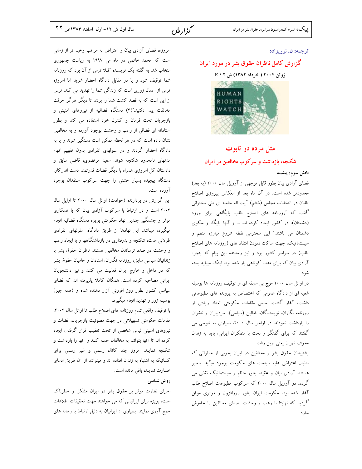گزار ش

#### ترجمه: ن. نوريزاده

# گزارش کامل ناظران حقوق بشر در مورد ایران

## ژوئن ۲۰۰۴ ( خرداد ۱۳۸۲) ش E / ۲



#### مثل مرده در تابوت

شکنجه، بازداشت و سرکوب مخالفین در ایران

بخش سوم: پيشينه

فضای آزادی بیان بطور قابل توجهی از آوریل سال ۲۰۰۰ (به بعد) محدودتر شده است. در آن ماه بعد از انعکاس پیروزی اصلاح طلبان در انتخابات مجلس (ششم) آیت اله خامنه ای طی سخنرانی گفت که "روزنامه های اصلاح طلب پایگاهی برای ورود (دشمنان)، در کشور ایجاد کرده اند ... و آنها پایگاه و سکوی دشمنان می باشند." این سخنرانی نقطه شروع مبارزه منظم و سیستماتیک، جهت ساکت نمودن انتقاد های (روزنامه های اصلاح طلب) در سراسر کشور بود و نیز رساننده این پیام که پنجره آزادی بیان که برای مدت کوتاهی باز شده بود، اینک میباید بسته شو د.

در اوائل سال ۲۰۰۰ موج بی سابقه ای از توقیف روزنامه ها بوسیله شعبه ای از دادگاه عمومی که اختصاص به پرونده های مطبوعاتی داشت، آغاز گشت. سپس مقامات حکومتی تعداد زیادی از روزنامه نگاران، نویسندگان، فعالین (سیاسی)، سردبیران و ناشران را بازداشت نمودند. در اواخر سال ۲۰۰۰، بسیاری به شوخی می گفتند که برای گفتگو و بحث با متفکران ایرانی، باید به زندان مخوف تهران يعني اوين رفت.

پشتیبانان حقوق بشر و مخالفین در ایران بخوبی از خطراتی که بدنبال اعتراض عليه سياست هاى حكومت بوجود ميآيد، باخبر هستند. آزادی بیان و عقیده بطور منظم و سیستماتیک نقض می گردد. در آوریل سال ۲۰۰۰ که سرکوب مطبوعات اصلاح طلب آغاز شده بود، حکومت ایران بطور روزافزون و موثری موفق گردید که نهایتا با رعب و وحشت، صدای مخالفین را خاموش ساز د.

امروزه، فضای آزادی بیان و اعتراض به مراتب وخیم تر از زمانی است که محمد خاتمی در ماه می ۱۹۹۷ به ریاست جمهوری انتخاب شد. به گفته یک نویسنده "قبلا ترس از آن بود که روزنامه شما توقیف شود و یا در مقابل دادگاه احضار شوید اما امروزه ترس از اعمال زوری است که زندگی شما را تهدید می کند. ترس از این است که به قصد کشت شما را بزنند تا دیگر هرگز جرئت مخالفت پیدا نکنید."(۴) دستگاه قضائیه از نیروهای امنیتی و بازجویان تحت فرمان و کنترل خود استفاده می کند و بطور استادانه ای فضائی از رعب و وحشت بوجود آورده و به مخالفین نشان داده است که در هر لحظه ممکن است دستگیر شوند و یا به دادگاه احضار گردند و در سلولهای انفرادی بدون تفهیم اتهام مدتهای نامحدود شکنجه شوند. سعید مرتضوی، قاضی سابق و دادستان کل امروزی همراه با دیگر قضات قدرتمند دست اندرکار، دستگاه پیچیده بسیار خشنی را جهت سرکوب منتقدان بوجود آورده است.

این گزارش در بردارنده (حوادث) اوائل سال ۲۰۰۰ تا اوایل سال ۲۰۰۴ است و در ارتباط با سرکوب آزادی بیان که با همکاری موثر و چشمگیر چندین نهاد حکومتی بویژه دستگاه قضائیه انجام میگیرد، میباشد. این نهادها از طریق دادگاه، سلولهای انفرادی طولانی مدت، شکنجه و بدرفتاری در بازداشتگاهها و با ایجاد رعب و وحشت در صدد ترساندن مخالفین هستند. ناظران حقوق بشر با زندانیان سیاسی سابق، روزنامه نگاران، استادان و حامیان حقوق بشر که در داخل و خارج ایران فعالیت می کنند و نیز دانشجویان ایرانی مصاحبه کرده است، همگان کاملا پذیرفته اند که فضای سیاسی کشور بطور روز افزونی آزار دهنده شده و (همه چیز) بوسیله زور و تهدید انجام میگیرد.

با توقیف واقعی تمام روزنامه های اصلاح طلب تا اوائل سال ۲۰۰۴، مقامات حکومتی تسهیلاتی در جهت مصونیت بازجویان، قضات و نیروهای امنیتی لباس شخصی از تحت تعقیب قرار گرفتن، ایجاد کرده اند تا آنها بتوانند به مخالفان حمله کنند و آنها را بازداشت و شکنجه نمایند. امروز چند کانال رسمی و غیر رسمی برای کسانیکه به اشتباه به زندان افتاده اند و میتوانند از آن طریق ادعای خسارت نمایند، باقی مانده است.

#### روش شناسی

اجرای نظارت موثر بر حقوق بشر در ایران مشکل و خطرناک است، بویژه برای ایرانیانی که می خواهند جهت تحقیقات اطلاعات جمع آوری نمایند. بسیاری از ایرانیان به دلیل ارتباط با رسانه های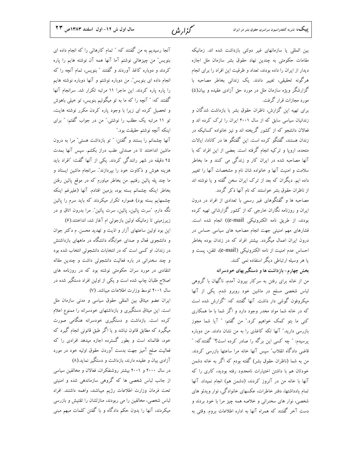آنجا رسیدیم به من گفتند که: " تمام کارهائی را که انجام داده ای بنویس" من چیزهائی نوشتم آما آنها همه آن نوشته هایم را پاره کردند و دوباره کاغذ آوردند و گفتند ″ بنویس، تمام آنچه را که انجام داده ای بنویس". من دوباره نوشتم و آنها دوباره نوشته هایم را پاره پاره کردند. این ماجرا ١١ مرتبه تکرار شد. سرانجام آنها گفتند که: " آنچه را که ما به تو میگوئیم بنویس، تو خیلی باهوش و تحصیل کرده ای زیرا با وجود پاره کردن مکرر نوشته هایت، تو ۱۱ مرتبه یک مطلب را نوشتی." من در جواب گفتم: " برای اينكه آنچه نوشتم حقيقت بود.″

آنها چشمانم را بستند و گفتن: " تو بازداشت هستی" مرا به درون ماشین انداختند تا در صندلی عقب دراز بکشم. سپس آنها بمدت ۴۵ دقیقه در شهر رانندگی کردند. یکی از آنها گفت: "افراد باید هزینه هوش و ذکاوت خود را بپردازند". سرانجام ماشین ایستاد و ما چند پله پائین رفتیم. من بخاطر میاورم که در موقع پائین رفتن بخاطر اينكه چشمانم بسته بود، بزمين افتادم. آنها (عليرغم اينكه چشمهایم بسته بود) همواره تکرار میکردند که باید سرم را پائین نگه دارم. "سرت پائین، پائین، سرت پائین". مرا بدرون اتاق و در

زیرزمینی تا زمانیکه اولین بازجوئی ام آغاز شد، انداختند.(۶) این بود اولین ساعتهای آزار و اذیت و تهدید محسن. م دکتر جوان و دانشجوی فعال و صدای خوابگاه دانشگاه در ماههای بازداشتش در زندان. او کسی است که در انتخابات دانشجوئی انتخاب شده بود و چند سخنرانی در باره فعالیت دانشجوئی داشت و چندین مقاله انتقادی در مورد سران حکومتی نوشته بود که در روزنامه های اصلاح طلبان چاپ شده است و یکی از اولین افراد دستگیر شده در سال ۲۰۰۱ توسط وزارت اطلاعات میباشد. (۷)

ایران عضو میثاق بین المللی حقوق سیاسی و مدنی سازمان ملل است. این میثاق دستگیری و بازداشتهای خودسرانه را ممنوع اعلام کرده است. بازداشت و دستگیری خودسرانه هنگامی صورت میگیرد که مطابق قانون نباشد و یا اگر طبق قانونی انجام گیرد که خود، ظالمانه است و بطور گسترده اجازه میدهد افرادی را که فعالیت صلح آمیز جهت بدست آوردن حقوق اولیه خود در مورد آزادی بیان و عقیده دارند، بازداشت و دستگیر نماید.(۸)

در سال ۲۰۰۰ و ۲۰۰۱ بیشتر روشنفکران، فعالان و مخالفین سیاسی از جانب لباس شخصی ها که گروهی سازماندهی شده و امنیتی تحت فرمان وزارت اطلاعات رژيم ميباشند، واهمه داشتند. افراد لباس شخصی، مخالفین را می ربودند، منازلشان را تقتیش و بازرسی میکردند، آنها را بدون حکم دادگاه و با گفتن کلمات مبهم مبنی

بین المللی یا سازمانهای غیر دولتی بازداشت شده اند. زمانیکه مقامات حکومتی به چندین نهاد حقوق بشر سازمان ملل اجازه دیدار از ایران را داده بودند، تعداد و ظرفیت این افراد را برای انجام هرگونه تحقیقی، تغییر دادند. یک زندانی بخاطر مصاحبه با گزارشگر ویژه سازمان ملل در مورد حق آزادی عقیده و بیان(۵) مورد مجازات قرار گرفت.

برای تهیه این گزارش، ناظران حقوق بشر با بازداشت شدگان و زندانیان سیاسی سابق که از سال ۲۰۰۱ ایران را ترک کرده اند و فعالان دانشجو که از کشور گریخته اند و نیز خانواده کسانیکه در زندان هستند، گفتگو کرده است. این گفتگو ها در کانادا، ایالات متحده، اروپا و ترکیه انجام گرفته است. بعضی از این افراد که با آنها مصاحبه شده در ایران کار و زندگی می کنند و ما بخاطر سلامت و امنیت آنها و خانواده شان نام و مشخصات آنها را تغییر .<br>داده ایم. دیگران که بعد از ترک ایران سخن گفته و یا نوشته اند از ناظران حقوق بشر خواستند که نام آنها ذکر گردد.

مصاحبه ها و گفتگوهای غیر رسمی با تعدادی از افراد در درون ایران و روزنامه نگاران خارجی که از کشور گزارشاتی تهیه کرده بودند، از طريق نامه الكترونيكي e-mail)) انجام شده است. فشارهای مهم امنیتی جهت انجام مصاحبه های سیاسی حساس در درون ایران اعمال میگردد. بیشتر افراد که در زندان بوده بخاطر احساس عدم امنيت از نامه الكترونيكي (e-mail)، تلفن، پست و یا هر وسیله ارتباطی دیگر استفاده نمی کنند.

## بخش چهارم- بازداشت ها و دستگیریهای خودسرانه

من از خانه برای رفتن به سرکار بیرون آمدم، ناگهان با گروهی لباس شخصی مسلح در ماشین خود روبرو شدم. یکی از آنها میکروفون گوشی دار داشت. آنها گفتند که: "گزارش شده است که در خانه شما مواد مخدر وجود دارد و اگر شما با ما همکاری كني ما بتو كمك خواهيم كرد." من گفتم: " آيا شما مجوز بازرسی دارید." آنها تکه کاغذی را به من نشان دادند. من دوباره پرسیدم: " چه کسی این برگه را صادر کرده است؟" گفتندکه: " قاضی دادگاه انقلاب ؓ سپس آنها خانه مرا ساعتها بازرسی کردند. من به شما (ناظران حقوق بشر) گفته بودم که اگر به خانه دشمن خودتان هم با داشتن اختیارات نامحدود رفته بودید، کاری را که آنها با خانه من در آنروز کردند، (دشمن هم) انجام نمیداد. آنها تمام یادداشتها، دفتر خاطرات، عکسهای خانوادگی، نوار ویدئو های .<br>شخصی، نوار های سخنرانی و خلاصه همه چیز مرا با خود بردند و دست آخر گفتند که همراه آنها به اداره اطلاعات بروم. وقتی به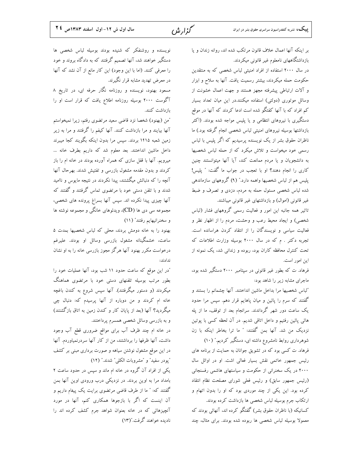گزار ش

بر اینکه آنها اعمال خلاف قانون مرتکب شده اند، روانه زندان و یا بازداشتگاههای نامعلوم غیر قانونی میکردند.

در سال ۲۰۰۰ استفاده از افراد امنیتی لباس شخصی که به منتقدین حکومت حمله میکردند، بیشتر رسمیت یافت. آنها به سلاح و ابزار و آلات ارتباطی پیشرفته مجهز هستند و جهت اعمال خشونت از وسائل موتوری (دولتی) استفاده میکنند.در این میان تعداد بسیار کم افراد که با آنها کفتگو شده است ادعا کردند که آنها در موقع دستگیری با نیروهای انتظامی و یا پلیس مواجه شده بودند. (اکثر بازداشتها بوسیله نیروهای امنیتی لباس شخصی انجام گرفته بود.) ما ناظران حقوق بشر از یک نویسنده پرسیدیم که اگر پلیس با لباس رسمی خود میخواست و تلاش میکرد که از حمله لباس شخصیها به دانشجویان و یا مردم ممانعت کند، آیا آنها میتوانستند چنین کاری را انجام دهند؟ او با تعجب در جواب ما گفت: " پلیس! یلیس هم از لباس شخصیها واهمه دارد." (۹) گروههای سازماندهی شده لباس شخصی مسئول حمله به مردم، دزدی و تصرف و ضبط غیر قانونی (اموال) و بازداشتهای غیر قانونی میباشند.

تاثیر همه جانبه این امور و فعالیت رسمی گروههای فشار (لباس شخصی) و ایجاد محیط رعب و وحشت، مردم را از اظهار نظر و فعالیت سیاسی و نویسندگان را از انتقاد کردن هراسانده است. تجربه دکتر . م که در سال ۲۰۰۰ بوسیله وزارت اطلاعات که تحت کنترل محافظه کاران بود، ربوده و زندانی شد، یک نمونه از این امور است.

فرهاد. ت که بطور غیر قانونی در سپتامبر ۲۰۰۰ دستگیر شده بود، ماجرای مشابه زیر را شاهد بود:

"لباس شخصيها مرا بداخل ماشين انداختند. آنها چشمانم را بستند و گفتند که سرم را پائین و میان پاهایم قرار دهم. سپس مرا حدود یک ساعت دور شهر گرداندند. سرانجام بعد از توقف، ما از پله هائی پائین رفتیم و داخل اتاقی شدیم. در آن لحظه کسی با پوتین نزدیک من شد. آنها بمن گفتند: " ما ترا بخاطر اینکه با زن شوهرداری روابط نامشروع داشته ای، دستگیر کردیم." (۱۰)

فرهاد. ت کسی بود که در تشویق جوانان به حمایت از برنامه های رئیس جمهور خاتمی نقش بسیار فعالی اشت. او در اوائل سال ۲۰۰۰ در یک سخنرانی از حکومت و سیاستهای هاشمی رفسنجانی (رئيس جمهور سابق) و رئيس فعلى شوراي مصلحت نظام انتقاد کرده بود. این یکی از چند موردی بود که او را بدون اتهام و ارتکاب جرم بوسیله لباس شخصی ها بازداشت کرده بودند.

کسانیکه (با ناظران حقوق بشر) گفتگو کرده اند، آنهائی بودند که معمولا بوسیله لباس شخصی ها ربوده شده بودند. برای مثال، چند

نویسنده و روشنفکر که شنیده بودند بوسیله لباس شخصی ها دستگیر خواهند شد، آنها تصمیم گرفتند که به دادگاه بروند و خود را معرفی کنند. (اما با این وجود) این کار مانع از آن نشد که آنها در معرض تهدید مشابه قرار نگیرند.

مسعود بهنود، نویسنده و روزنامه نگار حرفه ای، در تاریخ ۸ آگوست ۲۰۰۰ بوسیله روزنامه اطلاع یافت که قرار است او را بازداشت كنند.

"من (بهنود) شخصا نزد قاضی سعید مرتضوی رفتم، زیرا نمیخواستم آنها بیایند و مرا بازداشت کنند. آنها کیفم را گرفتند و مرا به زیر زمین شعبه ۱۴۱۵ بردند. سیس مرا بدون اینکه بگویند کجا میبرند داخل ماشین انداختند. بعد معلوم شد که داریم بطرف خانه ... میرویم. آنها با قفل سازی که همراه آورده بودند در خانه ام را باز کردند و بدون مقدمه مشغول بازرسی و تفتیش شدند. بهرحال آنها آنچه را که دنبالش میگشتند، پیدا نکردند در نتیجه مایوس و ناامید شدند و با تلفن دستی خود با مرتضوی تماس گرفتند و گفتند که آنها چیزی پیدا نکرده اند. سپس آنها بسراغ پرونده های شخصی، مجموعه سی دی ها (CD)، ویدئوهای خانگی و مجموعه نوشته ها و سخنرانیهایم رفتند" (١١)

بهنود را به خانه دومش بردند، محلی که لباس شخصیها بمدت ۵ ساعت، خشمگینانه مشغول بازرسی وسائل او بودند. علیرغم درخواست مکرر بهنود آنها هرگز مجوز بازرسی خانه را به او نشان ندادند:

"در این موقع که ساعت حدود ۱۱ شب بود، آنها عملیات خود را بطور مرتب بوسیله تلفنهای دستی خود با مرتضوی هماهنگ میکردند (و دستور میگرفتند). آنها سپس شروع به کندن باغچه خانه ام کردند و من دوباره از آنها پرسیدم که: دنبال چی میگردید؟ آنها (بعد از پایان کار و کندن زمین به اتاق بازگشتند) و به بازرسی وسائل شخصی همسرم پرداختند.

در خانه ام چند ظرف آب برای مواقع ضروری قطع آب وجود داشت، آنها ظرفها را برداشتند، من از کار آنها سردرنمیاوردم. آنها در این موقع مشغول نوشتن سیاهه و صورت برداری مبنی بر کشف "پودر سفيد" و "مشروبات الكلي" شدند." (١٢)

یکی از افراد آن گروه در خانه ام ماند و سپس در حدود ساعت ۲ بامداد مرا به اوین بردند. در نزدیکی درب ورودی اوین آنها بمن گفتند که: " ما از طرف قاضی مرتضوی برایت یک پیغام داریم و آن اینست که اگر با بازجوها همکاری کنم، آنها در مورد آنچیزهائی که در خانه بعنوان شواهد جرم کشف کرده اند را نادیده خواهند گرفت."(۱۳)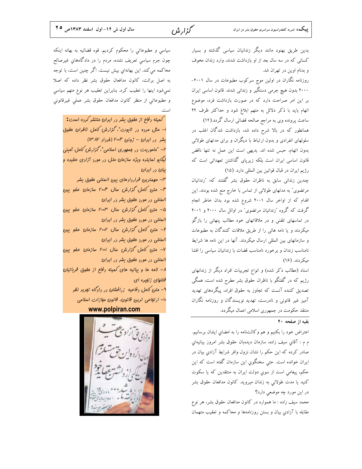گزار ش

بدین طریق بهنود مانند دیگر زندانیان سیاسی گذشته و بسیار کسانی که در سه سال بعد از او بازداشت شدند، وارد زندان مخوف و بدنام اوين در تهران شد. روزنامه نگاران در اولین موج سرکوب مطبوعات در سال ۲۰۰۱-

> ۲۰۰۰ بدون هیچ جرمی دستگیر و زندانی شدند. قانون اساسی ایران بر این امر صراحت دارد که در صورت بازداشت فرد، موضوع اتهام باید با ذکر دلائل به متهم ابلاغ شود و حداکثر ظرف ۲۴

> ساعت پرونده وی به مراجع صالحه قضائی ارسال گردد.(۱۴) همانطور که در بالا شرح داده شد، بازداشت شدگان اغلب در سلولهای انفرادی و بدون ارتباط با دیگران و برای مدتهای طولانی بدون اتهام، حبس شده اند. بديهي است اين عمل نه تنها ناقض قانون اساسی ایران است بلکه زیریای گذاشتن تعهداتی است که رژیم ایران در قبال قوانین بین المللی دارد. (۱۵)

> چندین زندانی سابق به ناظران حقوق بشر گفتند که: "زندانیان مرتضوی" به مدتهای طولانی از تماس با خارج منع شده بودند. این اقدام که از اواخر سال ۲۰۰۱ شروع شده بود بدان خاطر انجام گرفت که گروه "زندانیان مرتضوی" در اوائل سال ۲۰۰۰ و ۲۰۰۱ در تماسهای تلفنی و در ملاقاتهای خود مطالب پنهانی را بازگو میکردند و یا نامه هائی را از طریق ملاقات کنندگان به مطبوعات و سازمانهای بین المللی ارسال میکردند. آنها در این نامه ها شرایط نامناسب زندان و برخورد نامناسب قضات با زندانیان سیاسی را افشا میکردند. (۱۶)

> اسناد (مطالب ذکر شده) و انواع تجربیات افراد دیگر از زندانهای رژیم که در گفتگو با ناظران حقوق بشر مطرح شده است، همگی تصدیق کننده آنست که تجاوز به حقوق افراد، پیگردهای تهدید آمیز غیر قانونی و نادرست، تهدید نویسندگان و روزنامه نگاران منتقد حکومت در جمهوری اسلامی اعمال میگردد.

> > نقبه از صفحه ۲۰

اعتراض خود را بكنيم و هم وكالتنامه را به امضاي ايشان برسانيم. م م : آقاي سيف زاده، سازمان ديدهبان حقوق بشر امروز بيانيهاي صادر کرده که این حکم را نشان نزول وافر شرایط آزادی بیان در ایران خوانده است. حتی سخنگوی این سازمان گفته است که این حکم، پیغامی است از سوی دولت ایران به منتقدین که یا سکوت کنید یا مدت طولانی به زندان میروید. کانون مدافعان حقوق بشر در این مورد چه موضعی دارد؟

محمد سیف زاده : ما همواره در کانون مدافعان حقوق بشر، هر نوع مقابله با آزادی بیان و بستن روزنامهها و محاکمه و تعقیب متهمان

سیاسی و مطبوعاتی را محکوم کردیم. قوه قضائیه به بهانه اینکه چون جرم سیاسی تعریف نشده، مردم را در دادگاههای غیرصالح محاکمه می کند. این بهانهای بیش نیست. اگر چنین است، با توجه به اصل برائت، کانون مدافعان حقوق بشر نظر داده که اصلا نمیشود اینها را تعقیب کرد. بنابراین تعقیب هر نوع متهم سیاسی و مطبوعاتی از منظر کانون مدافعان حقوق بشر عملی غیرقانونی

کمیته دفاع از مقوق بشر در ایران منتشر کرده است: ا- مثل مرده در تابوت"، *گزارش کامل ناظران* مقوق بشر در ایران – ژوئن ۲۰۰۴ (فرداد ۱۳۸۲) ۲– "ماموریت در موجوری اسلامی"، گزارش کامل آمیئی لیگابو نماینره ویژه سازمان ملل در مورد آزادی عقیره و بیان در ایران ٣– مهمترین قراردادهای بین المللی مقوق بشر ۱۴- متن کامل گزارش سال ۲۰۰۴ سازمان عفو بین المللی در مورد مقوق بشر در ایران

۵ - متن کامل گزارش سال ۲۰۰۳ سازمان عفو بین المللی در مورد مقوق بشر در ایران

۶- متن کامل گزارش سال ۲۰۰۲ سازمان عفو بین المللی در مورد مقوق بشر در ایران

۷– متن کامل گزارش سال ۲۰۰۱ سازمان عفو بین المللی در مورد مقوق بشر در ایران

۸- نامه ها و بیانیه های کمیته رفاع از مقوق قرباتیان قتلهای زنمیره ای

۹– متن کامل دفاعیه  $j$ رافشان در دادگاه تبدید نظر ه ا- ارتفاعی ترین قانون، قانون مفازات اسلامی

www.polpiran.com